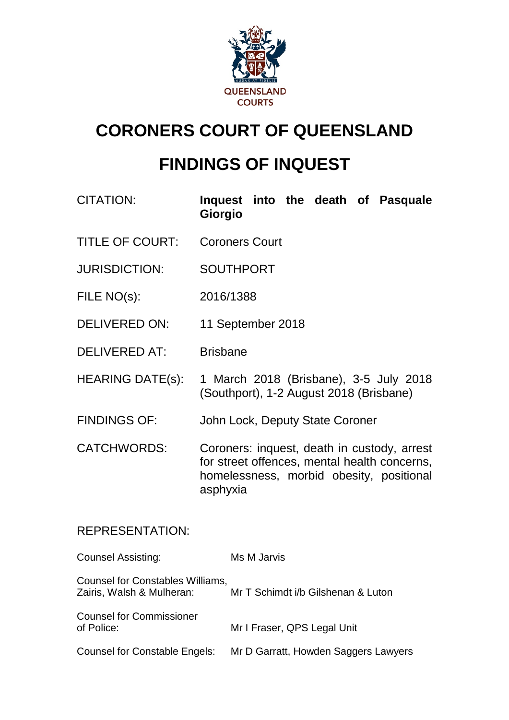

# **CORONERS COURT OF QUEENSLAND**

# **FINDINGS OF INQUEST**

| <b>CITATION:</b> | <b>Giorgio</b>                     |  |  | Inquest into the death of Pasquale |
|------------------|------------------------------------|--|--|------------------------------------|
| TITLE AF AALINT  | $\sim$ $\sim$ $\sim$ $\sim$ $\sim$ |  |  |                                    |

- TITLE OF COURT: Coroners Court
- JURISDICTION: SOUTHPORT
- FILE NO(s): 2016/1388
- DELIVERED ON: 11 September 2018
- DELIVERED AT: Brisbane
- HEARING DATE(s): 1 March 2018 (Brisbane), 3-5 July 2018 (Southport), 1-2 August 2018 (Brisbane)
- FINDINGS OF: John Lock, Deputy State Coroner

CATCHWORDS: Coroners: inquest, death in custody, arrest for street offences, mental health concerns, homelessness, morbid obesity, positional asphyxia

## REPRESENTATION:

| <b>Counsel Assisting:</b>                                     | Ms M Jarvis                          |
|---------------------------------------------------------------|--------------------------------------|
| Counsel for Constables Williams,<br>Zairis, Walsh & Mulheran: | Mr T Schimdt i/b Gilshenan & Luton   |
| <b>Counsel for Commissioner</b><br>of Police:                 | Mr I Fraser, QPS Legal Unit          |
| <b>Counsel for Constable Engels:</b>                          | Mr D Garratt, Howden Saggers Lawyers |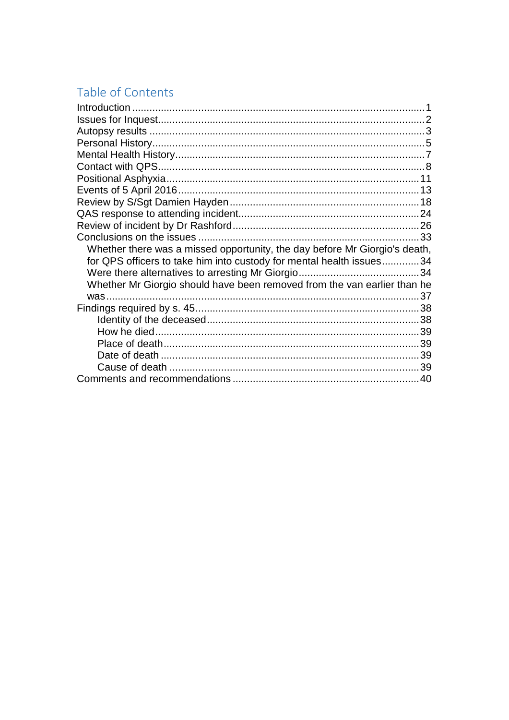# Table of Contents

| Whether there was a missed opportunity, the day before Mr Giorgio's death, |  |
|----------------------------------------------------------------------------|--|
| for QPS officers to take him into custody for mental health issues34       |  |
|                                                                            |  |
| Whether Mr Giorgio should have been removed from the van earlier than he   |  |
|                                                                            |  |
|                                                                            |  |
|                                                                            |  |
|                                                                            |  |
|                                                                            |  |
|                                                                            |  |
|                                                                            |  |
|                                                                            |  |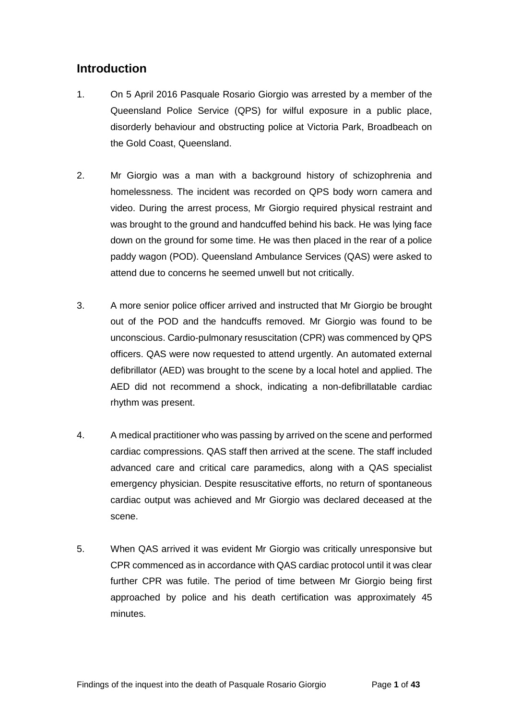# <span id="page-2-0"></span>**Introduction**

- 1. On 5 April 2016 Pasquale Rosario Giorgio was arrested by a member of the Queensland Police Service (QPS) for wilful exposure in a public place, disorderly behaviour and obstructing police at Victoria Park, Broadbeach on the Gold Coast, Queensland.
- 2. Mr Giorgio was a man with a background history of schizophrenia and homelessness. The incident was recorded on QPS body worn camera and video. During the arrest process, Mr Giorgio required physical restraint and was brought to the ground and handcuffed behind his back. He was lying face down on the ground for some time. He was then placed in the rear of a police paddy wagon (POD). Queensland Ambulance Services (QAS) were asked to attend due to concerns he seemed unwell but not critically.
- 3. A more senior police officer arrived and instructed that Mr Giorgio be brought out of the POD and the handcuffs removed. Mr Giorgio was found to be unconscious. Cardio-pulmonary resuscitation (CPR) was commenced by QPS officers. QAS were now requested to attend urgently. An automated external defibrillator (AED) was brought to the scene by a local hotel and applied. The AED did not recommend a shock, indicating a non-defibrillatable cardiac rhythm was present.
- 4. A medical practitioner who was passing by arrived on the scene and performed cardiac compressions. QAS staff then arrived at the scene. The staff included advanced care and critical care paramedics, along with a QAS specialist emergency physician. Despite resuscitative efforts, no return of spontaneous cardiac output was achieved and Mr Giorgio was declared deceased at the scene.
- 5. When QAS arrived it was evident Mr Giorgio was critically unresponsive but CPR commenced as in accordance with QAS cardiac protocol until it was clear further CPR was futile. The period of time between Mr Giorgio being first approached by police and his death certification was approximately 45 minutes.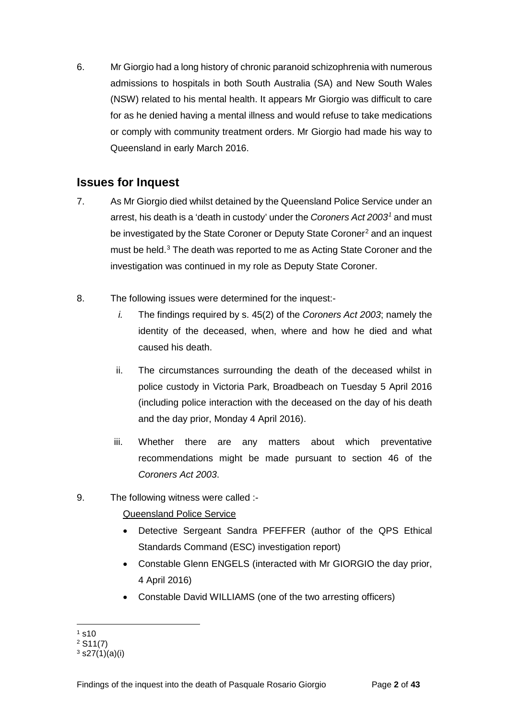6. Mr Giorgio had a long history of chronic paranoid schizophrenia with numerous admissions to hospitals in both South Australia (SA) and New South Wales (NSW) related to his mental health. It appears Mr Giorgio was difficult to care for as he denied having a mental illness and would refuse to take medications or comply with community treatment orders. Mr Giorgio had made his way to Queensland in early March 2016.

# <span id="page-3-0"></span>**Issues for Inquest**

- 7. As Mr Giorgio died whilst detained by the Queensland Police Service under an arrest, his death is a 'death in custody' under the *Coroners Act 2003[1](#page-3-1)* and must be investigated by the State Coroner or Deputy State Coroner<sup>[2](#page-3-2)</sup> and an inquest must be held. [3](#page-3-3) The death was reported to me as Acting State Coroner and the investigation was continued in my role as Deputy State Coroner.
- 8. The following issues were determined for the inquest:
	- *i.* The findings required by s. 45(2) of the *Coroners Act 2003*; namely the identity of the deceased, when, where and how he died and what caused his death.
	- ii. The circumstances surrounding the death of the deceased whilst in police custody in Victoria Park, Broadbeach on Tuesday 5 April 2016 (including police interaction with the deceased on the day of his death and the day prior, Monday 4 April 2016).
	- iii. Whether there are any matters about which preventative recommendations might be made pursuant to section 46 of the *Coroners Act 2003*.
- 9. The following witness were called :-

### Queensland Police Service

- Detective Sergeant Sandra PFEFFER (author of the QPS Ethical Standards Command (ESC) investigation report)
- Constable Glenn ENGELS (interacted with Mr GIORGIO the day prior, 4 April 2016)
- Constable David WILLIAMS (one of the two arresting officers)

 $1 s10$  $\overline{a}$ 

<span id="page-3-2"></span><span id="page-3-1"></span><sup>2</sup> S11(7)

<span id="page-3-3"></span> $3$  s27(1)(a)(i)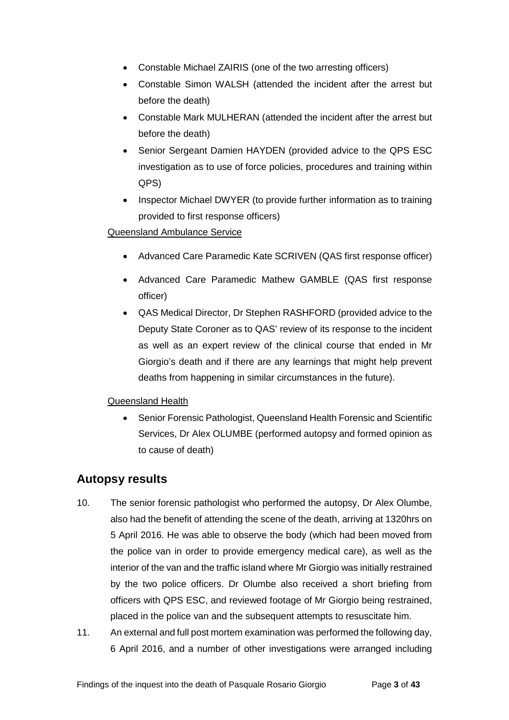- Constable Michael ZAIRIS (one of the two arresting officers)
- Constable Simon WALSH (attended the incident after the arrest but before the death)
- Constable Mark MULHERAN (attended the incident after the arrest but before the death)
- Senior Sergeant Damien HAYDEN (provided advice to the QPS ESC investigation as to use of force policies, procedures and training within QPS)
- Inspector Michael DWYER (to provide further information as to training provided to first response officers)

### Queensland Ambulance Service

- Advanced Care Paramedic Kate SCRIVEN (QAS first response officer)
- Advanced Care Paramedic Mathew GAMBLE (QAS first response officer)
- QAS Medical Director, Dr Stephen RASHFORD (provided advice to the Deputy State Coroner as to QAS' review of its response to the incident as well as an expert review of the clinical course that ended in Mr Giorgio's death and if there are any learnings that might help prevent deaths from happening in similar circumstances in the future).

### Queensland Health

• Senior Forensic Pathologist, Queensland Health Forensic and Scientific Services, Dr Alex OLUMBE (performed autopsy and formed opinion as to cause of death)

## <span id="page-4-0"></span>**Autopsy results**

- 10. The senior forensic pathologist who performed the autopsy, Dr Alex Olumbe, also had the benefit of attending the scene of the death, arriving at 1320hrs on 5 April 2016. He was able to observe the body (which had been moved from the police van in order to provide emergency medical care), as well as the interior of the van and the traffic island where Mr Giorgio was initially restrained by the two police officers. Dr Olumbe also received a short briefing from officers with QPS ESC, and reviewed footage of Mr Giorgio being restrained, placed in the police van and the subsequent attempts to resuscitate him.
- 11. An external and full post mortem examination was performed the following day, 6 April 2016, and a number of other investigations were arranged including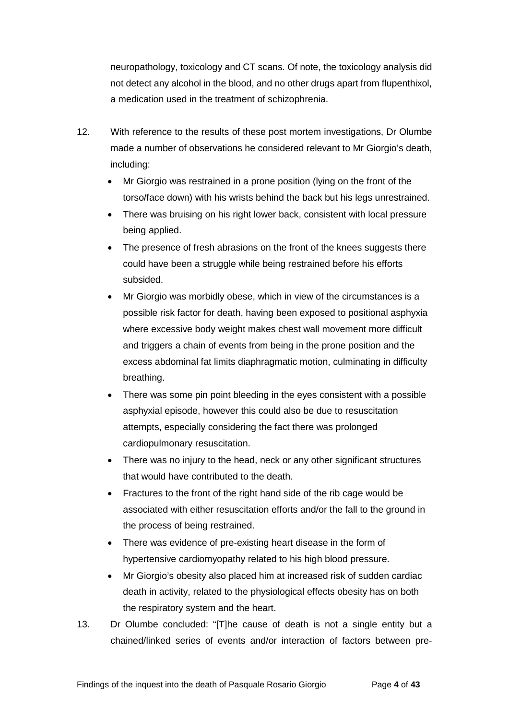neuropathology, toxicology and CT scans. Of note, the toxicology analysis did not detect any alcohol in the blood, and no other drugs apart from flupenthixol, a medication used in the treatment of schizophrenia.

- 12. With reference to the results of these post mortem investigations, Dr Olumbe made a number of observations he considered relevant to Mr Giorgio's death, including:
	- Mr Giorgio was restrained in a prone position (lying on the front of the torso/face down) with his wrists behind the back but his legs unrestrained.
	- There was bruising on his right lower back, consistent with local pressure being applied.
	- The presence of fresh abrasions on the front of the knees suggests there could have been a struggle while being restrained before his efforts subsided.
	- Mr Giorgio was morbidly obese, which in view of the circumstances is a possible risk factor for death, having been exposed to positional asphyxia where excessive body weight makes chest wall movement more difficult and triggers a chain of events from being in the prone position and the excess abdominal fat limits diaphragmatic motion, culminating in difficulty breathing.
	- There was some pin point bleeding in the eyes consistent with a possible asphyxial episode, however this could also be due to resuscitation attempts, especially considering the fact there was prolonged cardiopulmonary resuscitation.
	- There was no injury to the head, neck or any other significant structures that would have contributed to the death.
	- Fractures to the front of the right hand side of the rib cage would be associated with either resuscitation efforts and/or the fall to the ground in the process of being restrained.
	- There was evidence of pre-existing heart disease in the form of hypertensive cardiomyopathy related to his high blood pressure.
	- Mr Giorgio's obesity also placed him at increased risk of sudden cardiac death in activity, related to the physiological effects obesity has on both the respiratory system and the heart.
- 13. Dr Olumbe concluded: "[T]he cause of death is not a single entity but a chained/linked series of events and/or interaction of factors between pre-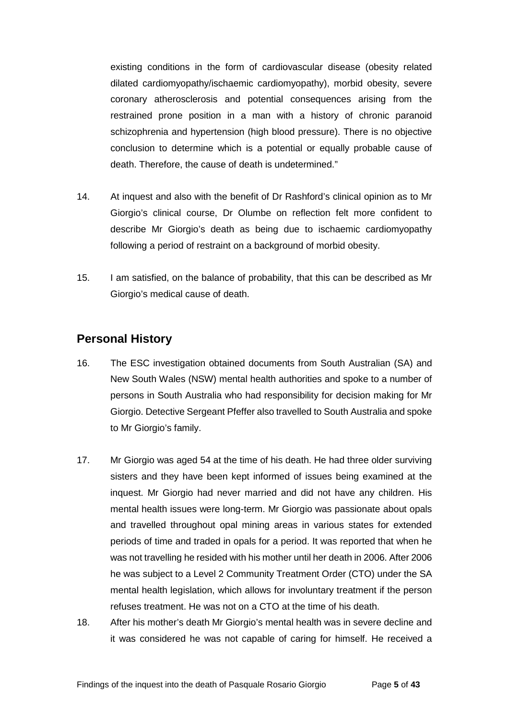existing conditions in the form of cardiovascular disease (obesity related dilated cardiomyopathy/ischaemic cardiomyopathy), morbid obesity, severe coronary atherosclerosis and potential consequences arising from the restrained prone position in a man with a history of chronic paranoid schizophrenia and hypertension (high blood pressure). There is no objective conclusion to determine which is a potential or equally probable cause of death. Therefore, the cause of death is undetermined."

- 14. At inquest and also with the benefit of Dr Rashford's clinical opinion as to Mr Giorgio's clinical course, Dr Olumbe on reflection felt more confident to describe Mr Giorgio's death as being due to ischaemic cardiomyopathy following a period of restraint on a background of morbid obesity.
- 15. I am satisfied, on the balance of probability, that this can be described as Mr Giorgio's medical cause of death.

## <span id="page-6-0"></span>**Personal History**

- 16. The ESC investigation obtained documents from South Australian (SA) and New South Wales (NSW) mental health authorities and spoke to a number of persons in South Australia who had responsibility for decision making for Mr Giorgio. Detective Sergeant Pfeffer also travelled to South Australia and spoke to Mr Giorgio's family.
- 17. Mr Giorgio was aged 54 at the time of his death. He had three older surviving sisters and they have been kept informed of issues being examined at the inquest. Mr Giorgio had never married and did not have any children. His mental health issues were long-term. Mr Giorgio was passionate about opals and travelled throughout opal mining areas in various states for extended periods of time and traded in opals for a period. It was reported that when he was not travelling he resided with his mother until her death in 2006. After 2006 he was subject to a Level 2 Community Treatment Order (CTO) under the SA mental health legislation, which allows for involuntary treatment if the person refuses treatment. He was not on a CTO at the time of his death.
- 18. After his mother's death Mr Giorgio's mental health was in severe decline and it was considered he was not capable of caring for himself. He received a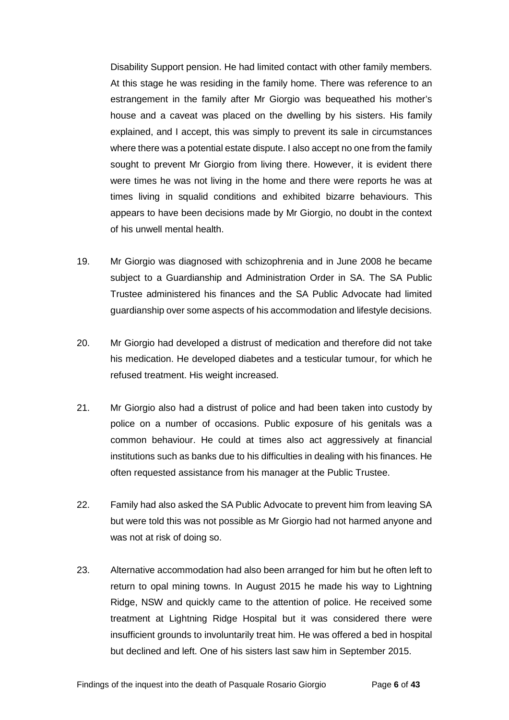Disability Support pension. He had limited contact with other family members. At this stage he was residing in the family home. There was reference to an estrangement in the family after Mr Giorgio was bequeathed his mother's house and a caveat was placed on the dwelling by his sisters. His family explained, and I accept, this was simply to prevent its sale in circumstances where there was a potential estate dispute. I also accept no one from the family sought to prevent Mr Giorgio from living there. However, it is evident there were times he was not living in the home and there were reports he was at times living in squalid conditions and exhibited bizarre behaviours. This appears to have been decisions made by Mr Giorgio, no doubt in the context of his unwell mental health.

- 19. Mr Giorgio was diagnosed with schizophrenia and in June 2008 he became subject to a Guardianship and Administration Order in SA. The SA Public Trustee administered his finances and the SA Public Advocate had limited guardianship over some aspects of his accommodation and lifestyle decisions.
- 20. Mr Giorgio had developed a distrust of medication and therefore did not take his medication. He developed diabetes and a testicular tumour, for which he refused treatment. His weight increased.
- 21. Mr Giorgio also had a distrust of police and had been taken into custody by police on a number of occasions. Public exposure of his genitals was a common behaviour. He could at times also act aggressively at financial institutions such as banks due to his difficulties in dealing with his finances. He often requested assistance from his manager at the Public Trustee.
- 22. Family had also asked the SA Public Advocate to prevent him from leaving SA but were told this was not possible as Mr Giorgio had not harmed anyone and was not at risk of doing so.
- 23. Alternative accommodation had also been arranged for him but he often left to return to opal mining towns. In August 2015 he made his way to Lightning Ridge, NSW and quickly came to the attention of police. He received some treatment at Lightning Ridge Hospital but it was considered there were insufficient grounds to involuntarily treat him. He was offered a bed in hospital but declined and left. One of his sisters last saw him in September 2015.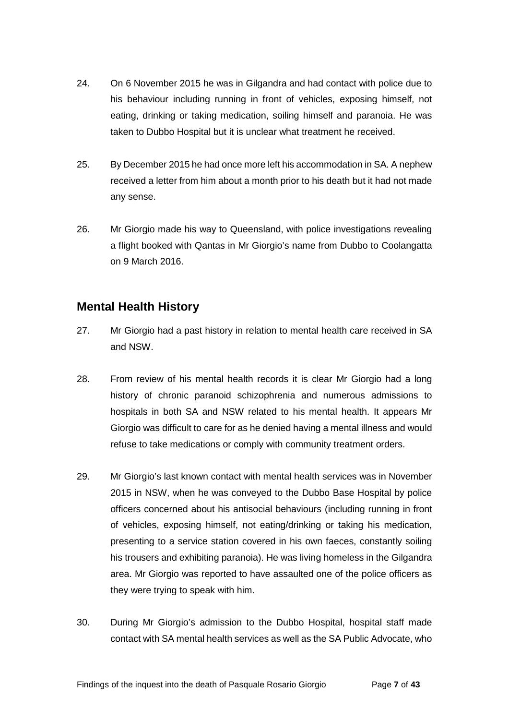- 24. On 6 November 2015 he was in Gilgandra and had contact with police due to his behaviour including running in front of vehicles, exposing himself, not eating, drinking or taking medication, soiling himself and paranoia. He was taken to Dubbo Hospital but it is unclear what treatment he received.
- 25. By December 2015 he had once more left his accommodation in SA. A nephew received a letter from him about a month prior to his death but it had not made any sense.
- 26. Mr Giorgio made his way to Queensland, with police investigations revealing a flight booked with Qantas in Mr Giorgio's name from Dubbo to Coolangatta on 9 March 2016.

# <span id="page-8-0"></span>**Mental Health History**

- 27. Mr Giorgio had a past history in relation to mental health care received in SA and NSW.
- 28. From review of his mental health records it is clear Mr Giorgio had a long history of chronic paranoid schizophrenia and numerous admissions to hospitals in both SA and NSW related to his mental health. It appears Mr Giorgio was difficult to care for as he denied having a mental illness and would refuse to take medications or comply with community treatment orders.
- 29. Mr Giorgio's last known contact with mental health services was in November 2015 in NSW, when he was conveyed to the Dubbo Base Hospital by police officers concerned about his antisocial behaviours (including running in front of vehicles, exposing himself, not eating/drinking or taking his medication, presenting to a service station covered in his own faeces, constantly soiling his trousers and exhibiting paranoia). He was living homeless in the Gilgandra area. Mr Giorgio was reported to have assaulted one of the police officers as they were trying to speak with him.
- 30. During Mr Giorgio's admission to the Dubbo Hospital, hospital staff made contact with SA mental health services as well as the SA Public Advocate, who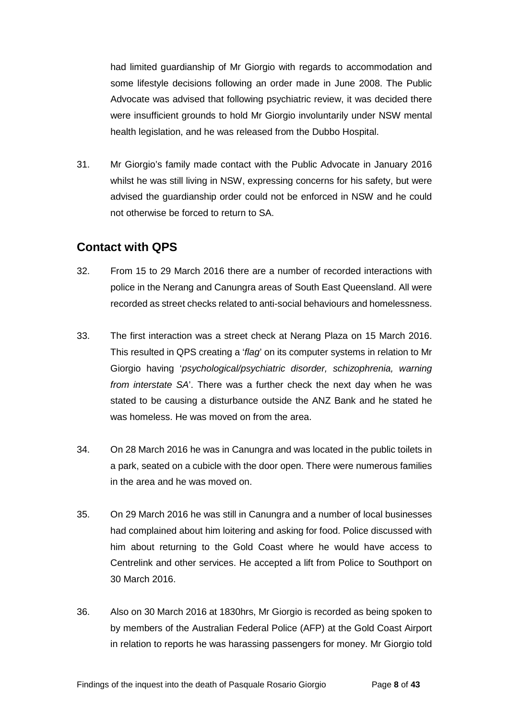had limited guardianship of Mr Giorgio with regards to accommodation and some lifestyle decisions following an order made in June 2008. The Public Advocate was advised that following psychiatric review, it was decided there were insufficient grounds to hold Mr Giorgio involuntarily under NSW mental health legislation, and he was released from the Dubbo Hospital.

31. Mr Giorgio's family made contact with the Public Advocate in January 2016 whilst he was still living in NSW, expressing concerns for his safety, but were advised the guardianship order could not be enforced in NSW and he could not otherwise be forced to return to SA.

## <span id="page-9-0"></span>**Contact with QPS**

- 32. From 15 to 29 March 2016 there are a number of recorded interactions with police in the Nerang and Canungra areas of South East Queensland. All were recorded as street checks related to anti-social behaviours and homelessness.
- 33. The first interaction was a street check at Nerang Plaza on 15 March 2016. This resulted in QPS creating a '*flag*' on its computer systems in relation to Mr Giorgio having '*psychological/psychiatric disorder, schizophrenia, warning from interstate SA*'. There was a further check the next day when he was stated to be causing a disturbance outside the ANZ Bank and he stated he was homeless. He was moved on from the area.
- 34. On 28 March 2016 he was in Canungra and was located in the public toilets in a park, seated on a cubicle with the door open. There were numerous families in the area and he was moved on.
- 35. On 29 March 2016 he was still in Canungra and a number of local businesses had complained about him loitering and asking for food. Police discussed with him about returning to the Gold Coast where he would have access to Centrelink and other services. He accepted a lift from Police to Southport on 30 March 2016.
- 36. Also on 30 March 2016 at 1830hrs, Mr Giorgio is recorded as being spoken to by members of the Australian Federal Police (AFP) at the Gold Coast Airport in relation to reports he was harassing passengers for money. Mr Giorgio told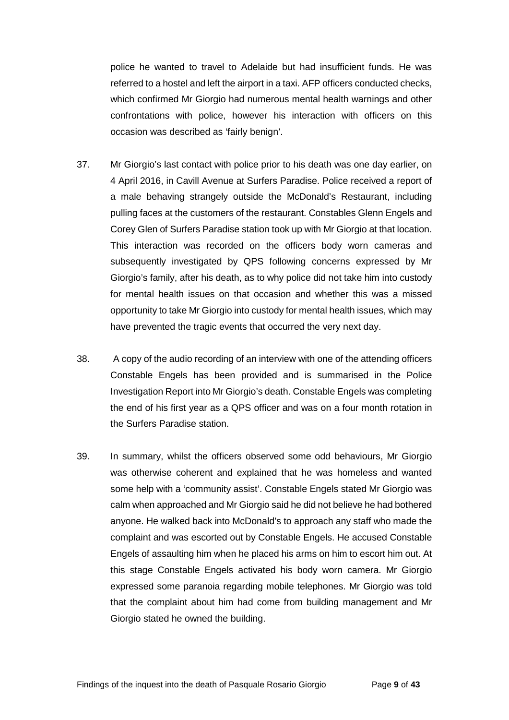police he wanted to travel to Adelaide but had insufficient funds. He was referred to a hostel and left the airport in a taxi. AFP officers conducted checks, which confirmed Mr Giorgio had numerous mental health warnings and other confrontations with police, however his interaction with officers on this occasion was described as 'fairly benign'.

- 37. Mr Giorgio's last contact with police prior to his death was one day earlier, on 4 April 2016, in Cavill Avenue at Surfers Paradise. Police received a report of a male behaving strangely outside the McDonald's Restaurant, including pulling faces at the customers of the restaurant. Constables Glenn Engels and Corey Glen of Surfers Paradise station took up with Mr Giorgio at that location. This interaction was recorded on the officers body worn cameras and subsequently investigated by QPS following concerns expressed by Mr Giorgio's family, after his death, as to why police did not take him into custody for mental health issues on that occasion and whether this was a missed opportunity to take Mr Giorgio into custody for mental health issues, which may have prevented the tragic events that occurred the very next day.
- 38. A copy of the audio recording of an interview with one of the attending officers Constable Engels has been provided and is summarised in the Police Investigation Report into Mr Giorgio's death. Constable Engels was completing the end of his first year as a QPS officer and was on a four month rotation in the Surfers Paradise station.
- 39. In summary, whilst the officers observed some odd behaviours, Mr Giorgio was otherwise coherent and explained that he was homeless and wanted some help with a 'community assist'. Constable Engels stated Mr Giorgio was calm when approached and Mr Giorgio said he did not believe he had bothered anyone. He walked back into McDonald's to approach any staff who made the complaint and was escorted out by Constable Engels. He accused Constable Engels of assaulting him when he placed his arms on him to escort him out. At this stage Constable Engels activated his body worn camera. Mr Giorgio expressed some paranoia regarding mobile telephones. Mr Giorgio was told that the complaint about him had come from building management and Mr Giorgio stated he owned the building.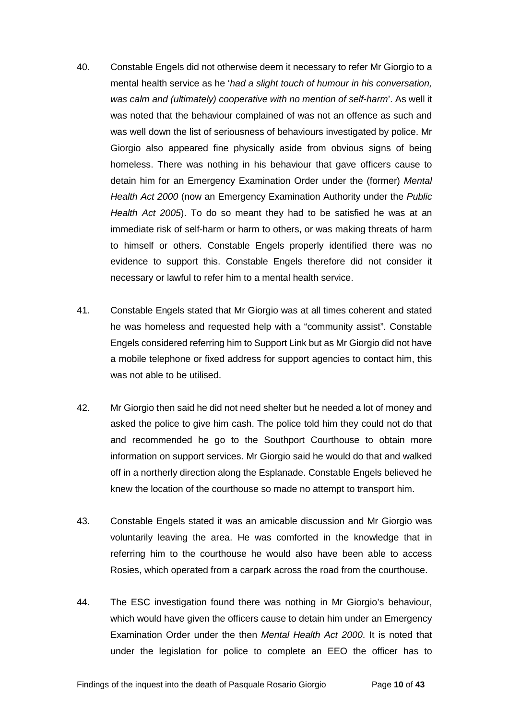- 40. Constable Engels did not otherwise deem it necessary to refer Mr Giorgio to a mental health service as he '*had a slight touch of humour in his conversation, was calm and (ultimately) cooperative with no mention of self-harm*'. As well it was noted that the behaviour complained of was not an offence as such and was well down the list of seriousness of behaviours investigated by police. Mr Giorgio also appeared fine physically aside from obvious signs of being homeless. There was nothing in his behaviour that gave officers cause to detain him for an Emergency Examination Order under the (former) *Mental Health Act 2000* (now an Emergency Examination Authority under the *Public Health Act 2005*). To do so meant they had to be satisfied he was at an immediate risk of self-harm or harm to others, or was making threats of harm to himself or others. Constable Engels properly identified there was no evidence to support this. Constable Engels therefore did not consider it necessary or lawful to refer him to a mental health service.
- 41. Constable Engels stated that Mr Giorgio was at all times coherent and stated he was homeless and requested help with a "community assist". Constable Engels considered referring him to Support Link but as Mr Giorgio did not have a mobile telephone or fixed address for support agencies to contact him, this was not able to be utilised.
- 42. Mr Giorgio then said he did not need shelter but he needed a lot of money and asked the police to give him cash. The police told him they could not do that and recommended he go to the Southport Courthouse to obtain more information on support services. Mr Giorgio said he would do that and walked off in a northerly direction along the Esplanade. Constable Engels believed he knew the location of the courthouse so made no attempt to transport him.
- 43. Constable Engels stated it was an amicable discussion and Mr Giorgio was voluntarily leaving the area. He was comforted in the knowledge that in referring him to the courthouse he would also have been able to access Rosies, which operated from a carpark across the road from the courthouse.
- 44. The ESC investigation found there was nothing in Mr Giorgio's behaviour, which would have given the officers cause to detain him under an Emergency Examination Order under the then *Mental Health Act 2000*. It is noted that under the legislation for police to complete an EEO the officer has to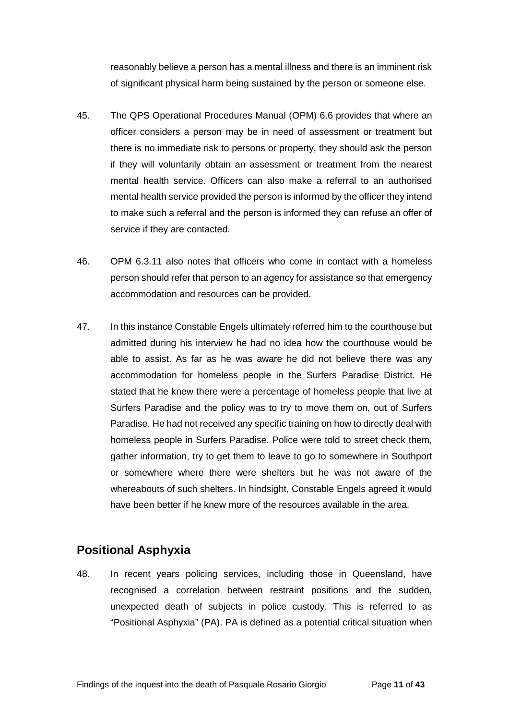reasonably believe a person has a mental illness and there is an imminent risk of significant physical harm being sustained by the person or someone else.

- 45. The QPS Operational Procedures Manual (OPM) 6.6 provides that where an officer considers a person may be in need of assessment or treatment but there is no immediate risk to persons or property, they should ask the person if they will voluntarily obtain an assessment or treatment from the nearest mental health service. Officers can also make a referral to an authorised mental health service provided the person is informed by the officer they intend to make such a referral and the person is informed they can refuse an offer of service if they are contacted.
- 46. OPM 6.3.11 also notes that officers who come in contact with a homeless person should refer that person to an agency for assistance so that emergency accommodation and resources can be provided.
- 47. In this instance Constable Engels ultimately referred him to the courthouse but admitted during his interview he had no idea how the courthouse would be able to assist. As far as he was aware he did not believe there was any accommodation for homeless people in the Surfers Paradise District. He stated that he knew there were a percentage of homeless people that live at Surfers Paradise and the policy was to try to move them on, out of Surfers Paradise. He had not received any specific training on how to directly deal with homeless people in Surfers Paradise. Police were told to street check them, gather information, try to get them to leave to go to somewhere in Southport or somewhere where there were shelters but he was not aware of the whereabouts of such shelters. In hindsight, Constable Engels agreed it would have been better if he knew more of the resources available in the area.

# <span id="page-12-0"></span>**Positional Asphyxia**

48. In recent years policing services, including those in Queensland, have recognised a correlation between restraint positions and the sudden, unexpected death of subjects in police custody. This is referred to as "Positional Asphyxia" (PA). PA is defined as a potential critical situation when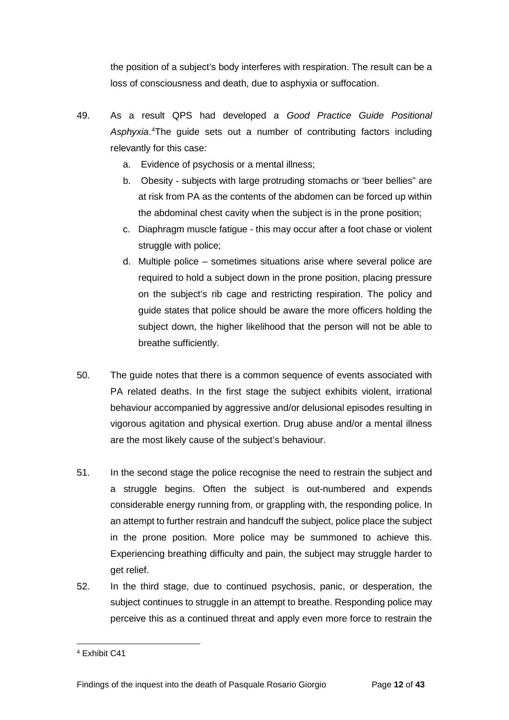the position of a subject's body interferes with respiration. The result can be a loss of consciousness and death, due to asphyxia or suffocation.

- 49. As a result QPS had developed a *Good Practice Guide Positional*  Asphyxia.<sup>[4](#page-13-0)</sup>The guide sets out a number of contributing factors including relevantly for this case:
	- a. Evidence of psychosis or a mental illness;
	- b. Obesity subjects with large protruding stomachs or 'beer bellies" are at risk from PA as the contents of the abdomen can be forced up within the abdominal chest cavity when the subject is in the prone position;
	- c. Diaphragm muscle fatigue this may occur after a foot chase or violent struggle with police;
	- d. Multiple police sometimes situations arise where several police are required to hold a subject down in the prone position, placing pressure on the subject's rib cage and restricting respiration. The policy and guide states that police should be aware the more officers holding the subject down, the higher likelihood that the person will not be able to breathe sufficiently.
- 50. The guide notes that there is a common sequence of events associated with PA related deaths. In the first stage the subject exhibits violent, irrational behaviour accompanied by aggressive and/or delusional episodes resulting in vigorous agitation and physical exertion. Drug abuse and/or a mental illness are the most likely cause of the subject's behaviour.
- 51. In the second stage the police recognise the need to restrain the subject and a struggle begins. Often the subject is out-numbered and expends considerable energy running from, or grappling with, the responding police. In an attempt to further restrain and handcuff the subject, police place the subject in the prone position. More police may be summoned to achieve this. Experiencing breathing difficulty and pain, the subject may struggle harder to get relief.
- 52. In the third stage, due to continued psychosis, panic, or desperation, the subject continues to struggle in an attempt to breathe. Responding police may perceive this as a continued threat and apply even more force to restrain the

<span id="page-13-0"></span><sup>4</sup> Exhibit C41  $\overline{a}$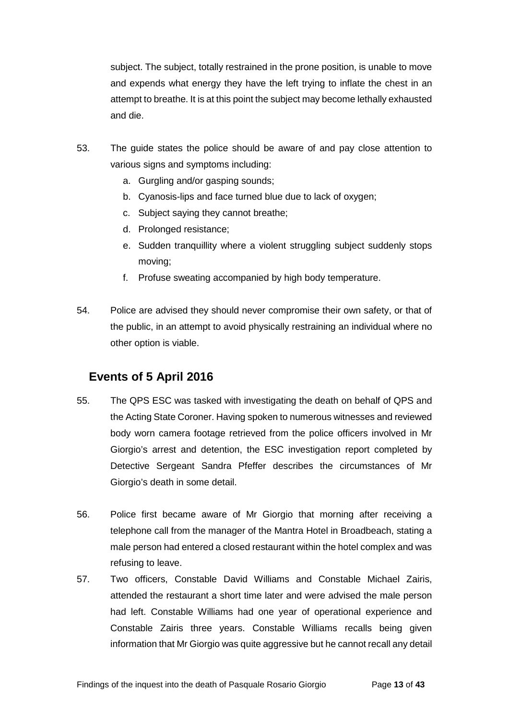subject. The subject, totally restrained in the prone position, is unable to move and expends what energy they have the left trying to inflate the chest in an attempt to breathe. It is at this point the subject may become lethally exhausted and die.

- 53. The guide states the police should be aware of and pay close attention to various signs and symptoms including:
	- a. Gurgling and/or gasping sounds;
	- b. Cyanosis-lips and face turned blue due to lack of oxygen;
	- c. Subject saying they cannot breathe;
	- d. Prolonged resistance;
	- e. Sudden tranquillity where a violent struggling subject suddenly stops moving;
	- f. Profuse sweating accompanied by high body temperature.
- 54. Police are advised they should never compromise their own safety, or that of the public, in an attempt to avoid physically restraining an individual where no other option is viable.

## <span id="page-14-0"></span>**Events of 5 April 2016**

- 55. The QPS ESC was tasked with investigating the death on behalf of QPS and the Acting State Coroner. Having spoken to numerous witnesses and reviewed body worn camera footage retrieved from the police officers involved in Mr Giorgio's arrest and detention, the ESC investigation report completed by Detective Sergeant Sandra Pfeffer describes the circumstances of Mr Giorgio's death in some detail.
- 56. Police first became aware of Mr Giorgio that morning after receiving a telephone call from the manager of the Mantra Hotel in Broadbeach, stating a male person had entered a closed restaurant within the hotel complex and was refusing to leave.
- 57. Two officers, Constable David Williams and Constable Michael Zairis, attended the restaurant a short time later and were advised the male person had left. Constable Williams had one year of operational experience and Constable Zairis three years. Constable Williams recalls being given information that Mr Giorgio was quite aggressive but he cannot recall any detail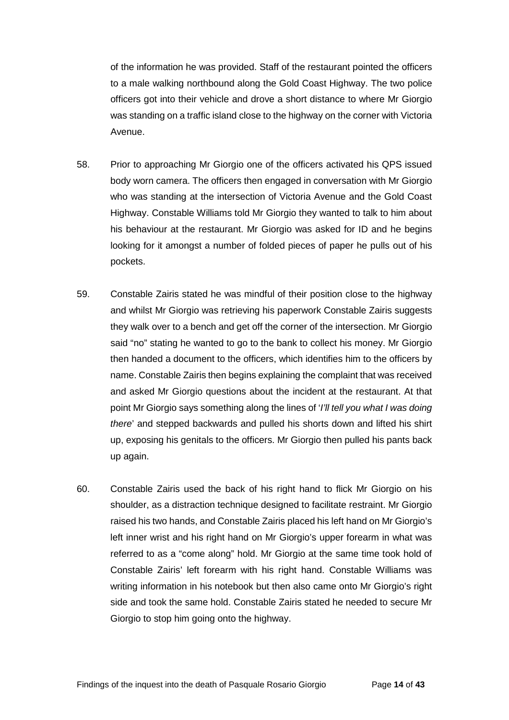of the information he was provided. Staff of the restaurant pointed the officers to a male walking northbound along the Gold Coast Highway. The two police officers got into their vehicle and drove a short distance to where Mr Giorgio was standing on a traffic island close to the highway on the corner with Victoria Avenue.

- 58. Prior to approaching Mr Giorgio one of the officers activated his QPS issued body worn camera. The officers then engaged in conversation with Mr Giorgio who was standing at the intersection of Victoria Avenue and the Gold Coast Highway. Constable Williams told Mr Giorgio they wanted to talk to him about his behaviour at the restaurant. Mr Giorgio was asked for ID and he begins looking for it amongst a number of folded pieces of paper he pulls out of his pockets.
- 59. Constable Zairis stated he was mindful of their position close to the highway and whilst Mr Giorgio was retrieving his paperwork Constable Zairis suggests they walk over to a bench and get off the corner of the intersection. Mr Giorgio said "no" stating he wanted to go to the bank to collect his money. Mr Giorgio then handed a document to the officers, which identifies him to the officers by name. Constable Zairis then begins explaining the complaint that was received and asked Mr Giorgio questions about the incident at the restaurant. At that point Mr Giorgio says something along the lines of '*I'll tell you what I was doing there*' and stepped backwards and pulled his shorts down and lifted his shirt up, exposing his genitals to the officers. Mr Giorgio then pulled his pants back up again.
- 60. Constable Zairis used the back of his right hand to flick Mr Giorgio on his shoulder, as a distraction technique designed to facilitate restraint. Mr Giorgio raised his two hands, and Constable Zairis placed his left hand on Mr Giorgio's left inner wrist and his right hand on Mr Giorgio's upper forearm in what was referred to as a "come along" hold. Mr Giorgio at the same time took hold of Constable Zairis' left forearm with his right hand. Constable Williams was writing information in his notebook but then also came onto Mr Giorgio's right side and took the same hold. Constable Zairis stated he needed to secure Mr Giorgio to stop him going onto the highway.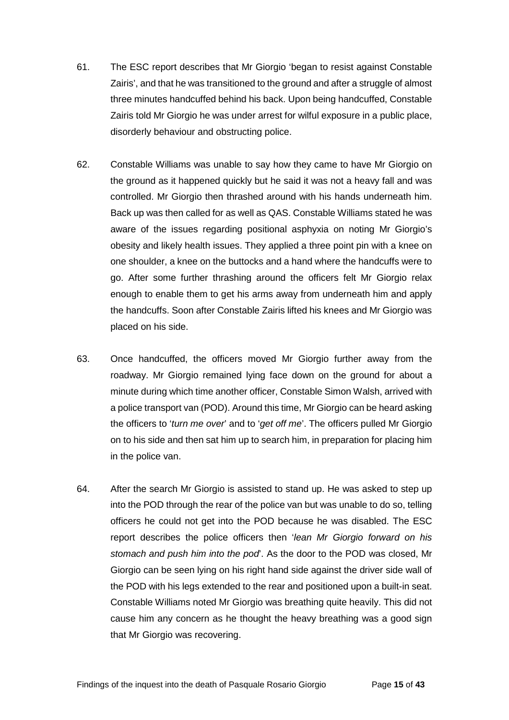- 61. The ESC report describes that Mr Giorgio 'began to resist against Constable Zairis', and that he was transitioned to the ground and after a struggle of almost three minutes handcuffed behind his back. Upon being handcuffed, Constable Zairis told Mr Giorgio he was under arrest for wilful exposure in a public place, disorderly behaviour and obstructing police.
- 62. Constable Williams was unable to say how they came to have Mr Giorgio on the ground as it happened quickly but he said it was not a heavy fall and was controlled. Mr Giorgio then thrashed around with his hands underneath him. Back up was then called for as well as QAS. Constable Williams stated he was aware of the issues regarding positional asphyxia on noting Mr Giorgio's obesity and likely health issues. They applied a three point pin with a knee on one shoulder, a knee on the buttocks and a hand where the handcuffs were to go. After some further thrashing around the officers felt Mr Giorgio relax enough to enable them to get his arms away from underneath him and apply the handcuffs. Soon after Constable Zairis lifted his knees and Mr Giorgio was placed on his side.
- 63. Once handcuffed, the officers moved Mr Giorgio further away from the roadway. Mr Giorgio remained lying face down on the ground for about a minute during which time another officer, Constable Simon Walsh, arrived with a police transport van (POD). Around this time, Mr Giorgio can be heard asking the officers to '*turn me over*' and to '*get off me*'. The officers pulled Mr Giorgio on to his side and then sat him up to search him, in preparation for placing him in the police van.
- 64. After the search Mr Giorgio is assisted to stand up. He was asked to step up into the POD through the rear of the police van but was unable to do so, telling officers he could not get into the POD because he was disabled. The ESC report describes the police officers then '*lean Mr Giorgio forward on his stomach and push him into the pod*'. As the door to the POD was closed, Mr Giorgio can be seen lying on his right hand side against the driver side wall of the POD with his legs extended to the rear and positioned upon a built-in seat. Constable Williams noted Mr Giorgio was breathing quite heavily. This did not cause him any concern as he thought the heavy breathing was a good sign that Mr Giorgio was recovering.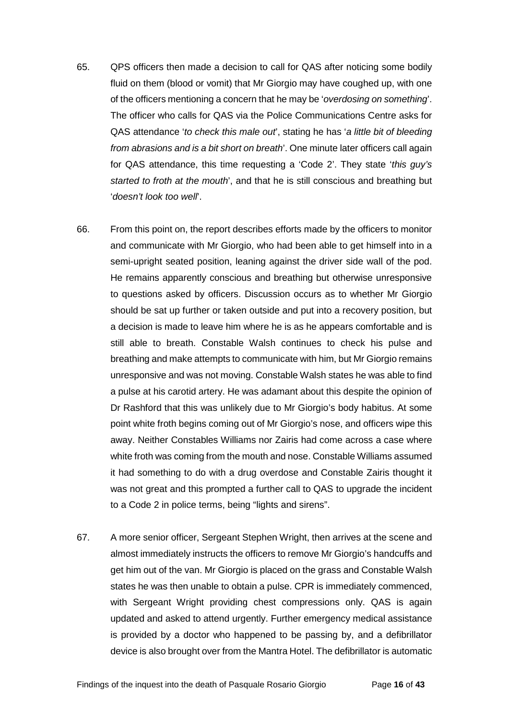- 65. QPS officers then made a decision to call for QAS after noticing some bodily fluid on them (blood or vomit) that Mr Giorgio may have coughed up, with one of the officers mentioning a concern that he may be '*overdosing on something*'. The officer who calls for QAS via the Police Communications Centre asks for QAS attendance '*to check this male out*', stating he has '*a little bit of bleeding from abrasions and is a bit short on breath*'. One minute later officers call again for QAS attendance, this time requesting a 'Code 2'. They state '*this guy's started to froth at the mouth*', and that he is still conscious and breathing but '*doesn't look too well*'.
- 66. From this point on, the report describes efforts made by the officers to monitor and communicate with Mr Giorgio, who had been able to get himself into in a semi-upright seated position, leaning against the driver side wall of the pod. He remains apparently conscious and breathing but otherwise unresponsive to questions asked by officers. Discussion occurs as to whether Mr Giorgio should be sat up further or taken outside and put into a recovery position, but a decision is made to leave him where he is as he appears comfortable and is still able to breath. Constable Walsh continues to check his pulse and breathing and make attempts to communicate with him, but Mr Giorgio remains unresponsive and was not moving. Constable Walsh states he was able to find a pulse at his carotid artery. He was adamant about this despite the opinion of Dr Rashford that this was unlikely due to Mr Giorgio's body habitus. At some point white froth begins coming out of Mr Giorgio's nose, and officers wipe this away. Neither Constables Williams nor Zairis had come across a case where white froth was coming from the mouth and nose. Constable Williams assumed it had something to do with a drug overdose and Constable Zairis thought it was not great and this prompted a further call to QAS to upgrade the incident to a Code 2 in police terms, being "lights and sirens".
- 67. A more senior officer, Sergeant Stephen Wright, then arrives at the scene and almost immediately instructs the officers to remove Mr Giorgio's handcuffs and get him out of the van. Mr Giorgio is placed on the grass and Constable Walsh states he was then unable to obtain a pulse. CPR is immediately commenced, with Sergeant Wright providing chest compressions only. QAS is again updated and asked to attend urgently. Further emergency medical assistance is provided by a doctor who happened to be passing by, and a defibrillator device is also brought over from the Mantra Hotel. The defibrillator is automatic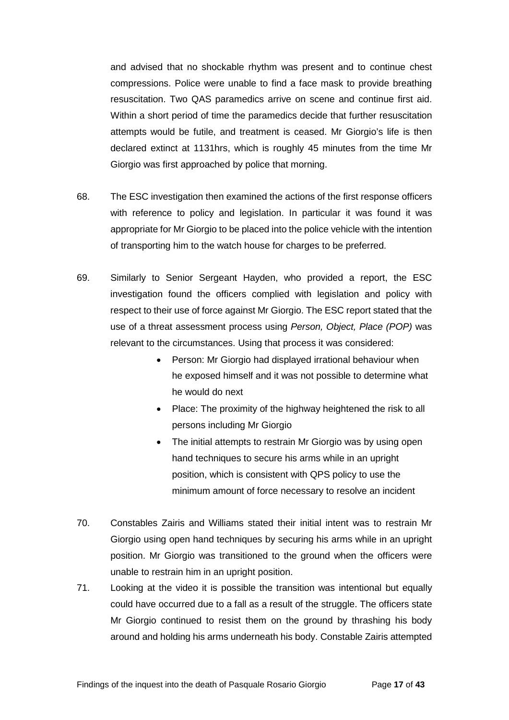and advised that no shockable rhythm was present and to continue chest compressions. Police were unable to find a face mask to provide breathing resuscitation. Two QAS paramedics arrive on scene and continue first aid. Within a short period of time the paramedics decide that further resuscitation attempts would be futile, and treatment is ceased. Mr Giorgio's life is then declared extinct at 1131hrs, which is roughly 45 minutes from the time Mr Giorgio was first approached by police that morning.

- 68. The ESC investigation then examined the actions of the first response officers with reference to policy and legislation. In particular it was found it was appropriate for Mr Giorgio to be placed into the police vehicle with the intention of transporting him to the watch house for charges to be preferred.
- 69. Similarly to Senior Sergeant Hayden, who provided a report, the ESC investigation found the officers complied with legislation and policy with respect to their use of force against Mr Giorgio. The ESC report stated that the use of a threat assessment process using *Person, Object, Place (POP)* was relevant to the circumstances. Using that process it was considered:
	- Person: Mr Giorgio had displayed irrational behaviour when he exposed himself and it was not possible to determine what he would do next
	- Place: The proximity of the highway heightened the risk to all persons including Mr Giorgio
	- The initial attempts to restrain Mr Giorgio was by using open hand techniques to secure his arms while in an upright position, which is consistent with QPS policy to use the minimum amount of force necessary to resolve an incident
- 70. Constables Zairis and Williams stated their initial intent was to restrain Mr Giorgio using open hand techniques by securing his arms while in an upright position. Mr Giorgio was transitioned to the ground when the officers were unable to restrain him in an upright position.
- 71. Looking at the video it is possible the transition was intentional but equally could have occurred due to a fall as a result of the struggle. The officers state Mr Giorgio continued to resist them on the ground by thrashing his body around and holding his arms underneath his body. Constable Zairis attempted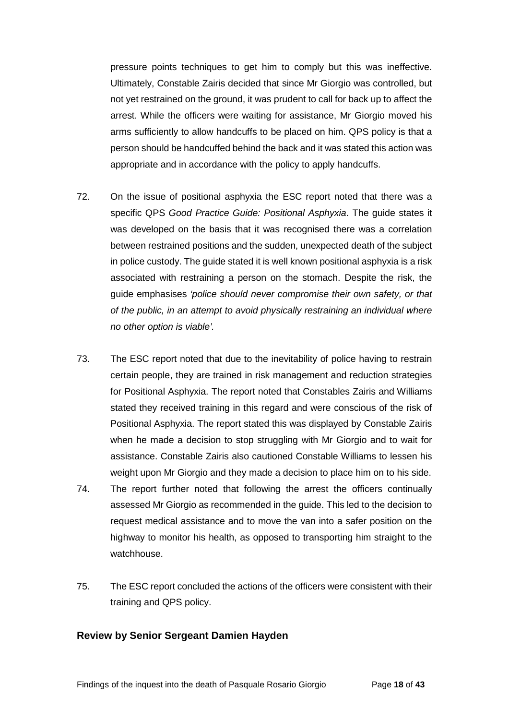pressure points techniques to get him to comply but this was ineffective. Ultimately, Constable Zairis decided that since Mr Giorgio was controlled, but not yet restrained on the ground, it was prudent to call for back up to affect the arrest. While the officers were waiting for assistance, Mr Giorgio moved his arms sufficiently to allow handcuffs to be placed on him. QPS policy is that a person should be handcuffed behind the back and it was stated this action was appropriate and in accordance with the policy to apply handcuffs.

- 72. On the issue of positional asphyxia the ESC report noted that there was a specific QPS *Good Practice Guide: Positional Asphyxia*. The guide states it was developed on the basis that it was recognised there was a correlation between restrained positions and the sudden, unexpected death of the subject in police custody. The guide stated it is well known positional asphyxia is a risk associated with restraining a person on the stomach. Despite the risk, the guide emphasises *'police should never compromise their own safety, or that of the public, in an attempt to avoid physically restraining an individual where no other option is viable'.*
- 73. The ESC report noted that due to the inevitability of police having to restrain certain people, they are trained in risk management and reduction strategies for Positional Asphyxia. The report noted that Constables Zairis and Williams stated they received training in this regard and were conscious of the risk of Positional Asphyxia. The report stated this was displayed by Constable Zairis when he made a decision to stop struggling with Mr Giorgio and to wait for assistance. Constable Zairis also cautioned Constable Williams to lessen his weight upon Mr Giorgio and they made a decision to place him on to his side.
- 74. The report further noted that following the arrest the officers continually assessed Mr Giorgio as recommended in the guide. This led to the decision to request medical assistance and to move the van into a safer position on the highway to monitor his health, as opposed to transporting him straight to the watchhouse.
- 75. The ESC report concluded the actions of the officers were consistent with their training and QPS policy.

### <span id="page-19-0"></span>**Review by Senior Sergeant Damien Hayden**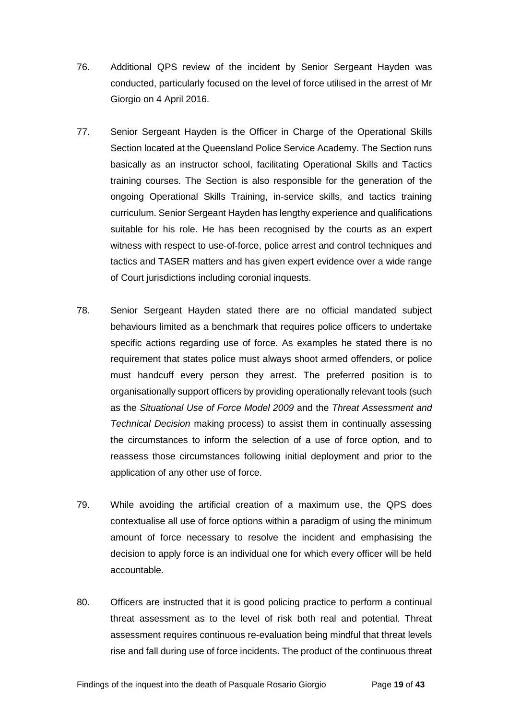- 76. Additional QPS review of the incident by Senior Sergeant Hayden was conducted, particularly focused on the level of force utilised in the arrest of Mr Giorgio on 4 April 2016.
- 77. Senior Sergeant Hayden is the Officer in Charge of the Operational Skills Section located at the Queensland Police Service Academy. The Section runs basically as an instructor school, facilitating Operational Skills and Tactics training courses. The Section is also responsible for the generation of the ongoing Operational Skills Training, in-service skills, and tactics training curriculum. Senior Sergeant Hayden has lengthy experience and qualifications suitable for his role. He has been recognised by the courts as an expert witness with respect to use-of-force, police arrest and control techniques and tactics and TASER matters and has given expert evidence over a wide range of Court jurisdictions including coronial inquests.
- 78. Senior Sergeant Hayden stated there are no official mandated subject behaviours limited as a benchmark that requires police officers to undertake specific actions regarding use of force. As examples he stated there is no requirement that states police must always shoot armed offenders, or police must handcuff every person they arrest. The preferred position is to organisationally support officers by providing operationally relevant tools (such as the *Situational Use of Force Model 2009* and the *Threat Assessment and Technical Decision* making process) to assist them in continually assessing the circumstances to inform the selection of a use of force option, and to reassess those circumstances following initial deployment and prior to the application of any other use of force.
- 79. While avoiding the artificial creation of a maximum use, the QPS does contextualise all use of force options within a paradigm of using the minimum amount of force necessary to resolve the incident and emphasising the decision to apply force is an individual one for which every officer will be held accountable.
- 80. Officers are instructed that it is good policing practice to perform a continual threat assessment as to the level of risk both real and potential. Threat assessment requires continuous re-evaluation being mindful that threat levels rise and fall during use of force incidents. The product of the continuous threat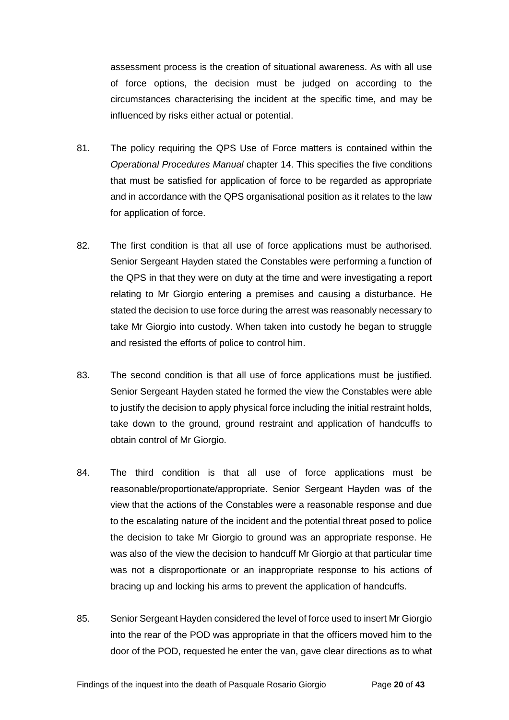assessment process is the creation of situational awareness. As with all use of force options, the decision must be judged on according to the circumstances characterising the incident at the specific time, and may be influenced by risks either actual or potential.

- 81. The policy requiring the QPS Use of Force matters is contained within the *Operational Procedures Manual* chapter 14. This specifies the five conditions that must be satisfied for application of force to be regarded as appropriate and in accordance with the QPS organisational position as it relates to the law for application of force.
- 82. The first condition is that all use of force applications must be authorised. Senior Sergeant Hayden stated the Constables were performing a function of the QPS in that they were on duty at the time and were investigating a report relating to Mr Giorgio entering a premises and causing a disturbance. He stated the decision to use force during the arrest was reasonably necessary to take Mr Giorgio into custody. When taken into custody he began to struggle and resisted the efforts of police to control him.
- 83. The second condition is that all use of force applications must be justified. Senior Sergeant Hayden stated he formed the view the Constables were able to justify the decision to apply physical force including the initial restraint holds, take down to the ground, ground restraint and application of handcuffs to obtain control of Mr Giorgio.
- 84. The third condition is that all use of force applications must be reasonable/proportionate/appropriate. Senior Sergeant Hayden was of the view that the actions of the Constables were a reasonable response and due to the escalating nature of the incident and the potential threat posed to police the decision to take Mr Giorgio to ground was an appropriate response. He was also of the view the decision to handcuff Mr Giorgio at that particular time was not a disproportionate or an inappropriate response to his actions of bracing up and locking his arms to prevent the application of handcuffs.
- 85. Senior Sergeant Hayden considered the level of force used to insert Mr Giorgio into the rear of the POD was appropriate in that the officers moved him to the door of the POD, requested he enter the van, gave clear directions as to what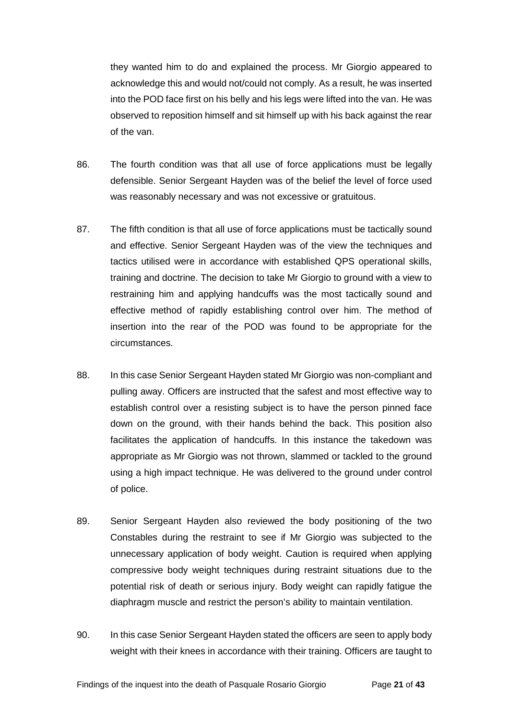they wanted him to do and explained the process. Mr Giorgio appeared to acknowledge this and would not/could not comply. As a result, he was inserted into the POD face first on his belly and his legs were lifted into the van. He was observed to reposition himself and sit himself up with his back against the rear of the van.

- 86. The fourth condition was that all use of force applications must be legally defensible. Senior Sergeant Hayden was of the belief the level of force used was reasonably necessary and was not excessive or gratuitous.
- 87. The fifth condition is that all use of force applications must be tactically sound and effective. Senior Sergeant Hayden was of the view the techniques and tactics utilised were in accordance with established QPS operational skills, training and doctrine. The decision to take Mr Giorgio to ground with a view to restraining him and applying handcuffs was the most tactically sound and effective method of rapidly establishing control over him. The method of insertion into the rear of the POD was found to be appropriate for the circumstances.
- 88. In this case Senior Sergeant Hayden stated Mr Giorgio was non-compliant and pulling away. Officers are instructed that the safest and most effective way to establish control over a resisting subject is to have the person pinned face down on the ground, with their hands behind the back. This position also facilitates the application of handcuffs. In this instance the takedown was appropriate as Mr Giorgio was not thrown, slammed or tackled to the ground using a high impact technique. He was delivered to the ground under control of police.
- 89. Senior Sergeant Hayden also reviewed the body positioning of the two Constables during the restraint to see if Mr Giorgio was subjected to the unnecessary application of body weight. Caution is required when applying compressive body weight techniques during restraint situations due to the potential risk of death or serious injury. Body weight can rapidly fatigue the diaphragm muscle and restrict the person's ability to maintain ventilation.
- 90. In this case Senior Sergeant Hayden stated the officers are seen to apply body weight with their knees in accordance with their training. Officers are taught to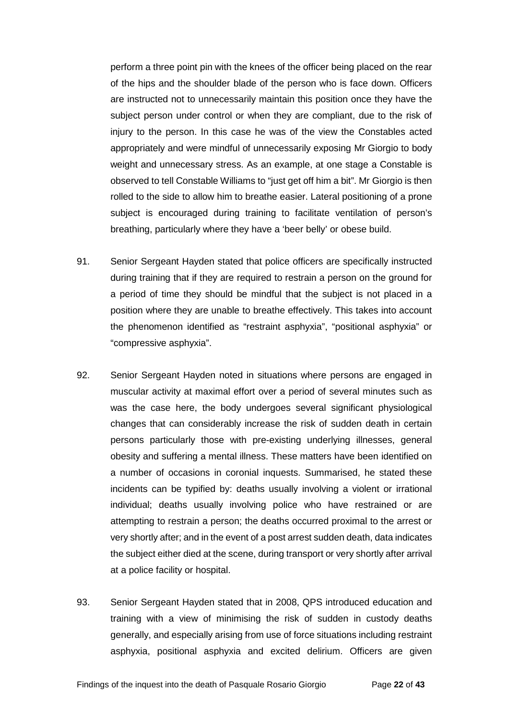perform a three point pin with the knees of the officer being placed on the rear of the hips and the shoulder blade of the person who is face down. Officers are instructed not to unnecessarily maintain this position once they have the subject person under control or when they are compliant, due to the risk of injury to the person. In this case he was of the view the Constables acted appropriately and were mindful of unnecessarily exposing Mr Giorgio to body weight and unnecessary stress. As an example, at one stage a Constable is observed to tell Constable Williams to "just get off him a bit". Mr Giorgio is then rolled to the side to allow him to breathe easier. Lateral positioning of a prone subject is encouraged during training to facilitate ventilation of person's breathing, particularly where they have a 'beer belly' or obese build.

- 91. Senior Sergeant Hayden stated that police officers are specifically instructed during training that if they are required to restrain a person on the ground for a period of time they should be mindful that the subject is not placed in a position where they are unable to breathe effectively. This takes into account the phenomenon identified as "restraint asphyxia", "positional asphyxia" or "compressive asphyxia".
- 92. Senior Sergeant Hayden noted in situations where persons are engaged in muscular activity at maximal effort over a period of several minutes such as was the case here, the body undergoes several significant physiological changes that can considerably increase the risk of sudden death in certain persons particularly those with pre-existing underlying illnesses, general obesity and suffering a mental illness. These matters have been identified on a number of occasions in coronial inquests. Summarised, he stated these incidents can be typified by: deaths usually involving a violent or irrational individual; deaths usually involving police who have restrained or are attempting to restrain a person; the deaths occurred proximal to the arrest or very shortly after; and in the event of a post arrest sudden death, data indicates the subject either died at the scene, during transport or very shortly after arrival at a police facility or hospital.
- 93. Senior Sergeant Hayden stated that in 2008, QPS introduced education and training with a view of minimising the risk of sudden in custody deaths generally, and especially arising from use of force situations including restraint asphyxia, positional asphyxia and excited delirium. Officers are given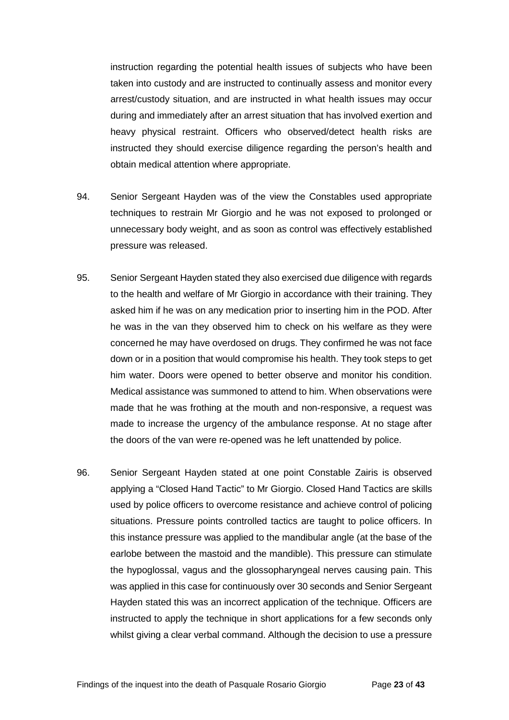instruction regarding the potential health issues of subjects who have been taken into custody and are instructed to continually assess and monitor every arrest/custody situation, and are instructed in what health issues may occur during and immediately after an arrest situation that has involved exertion and heavy physical restraint. Officers who observed/detect health risks are instructed they should exercise diligence regarding the person's health and obtain medical attention where appropriate.

- 94. Senior Sergeant Hayden was of the view the Constables used appropriate techniques to restrain Mr Giorgio and he was not exposed to prolonged or unnecessary body weight, and as soon as control was effectively established pressure was released.
- 95. Senior Sergeant Hayden stated they also exercised due diligence with regards to the health and welfare of Mr Giorgio in accordance with their training. They asked him if he was on any medication prior to inserting him in the POD. After he was in the van they observed him to check on his welfare as they were concerned he may have overdosed on drugs. They confirmed he was not face down or in a position that would compromise his health. They took steps to get him water. Doors were opened to better observe and monitor his condition. Medical assistance was summoned to attend to him. When observations were made that he was frothing at the mouth and non-responsive, a request was made to increase the urgency of the ambulance response. At no stage after the doors of the van were re-opened was he left unattended by police.
- 96. Senior Sergeant Hayden stated at one point Constable Zairis is observed applying a "Closed Hand Tactic" to Mr Giorgio. Closed Hand Tactics are skills used by police officers to overcome resistance and achieve control of policing situations. Pressure points controlled tactics are taught to police officers. In this instance pressure was applied to the mandibular angle (at the base of the earlobe between the mastoid and the mandible). This pressure can stimulate the hypoglossal, vagus and the glossopharyngeal nerves causing pain. This was applied in this case for continuously over 30 seconds and Senior Sergeant Hayden stated this was an incorrect application of the technique. Officers are instructed to apply the technique in short applications for a few seconds only whilst giving a clear verbal command. Although the decision to use a pressure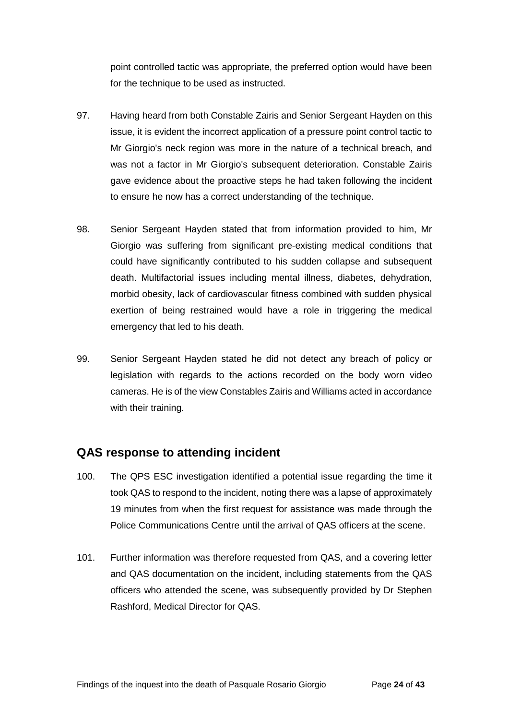point controlled tactic was appropriate, the preferred option would have been for the technique to be used as instructed.

- 97. Having heard from both Constable Zairis and Senior Sergeant Hayden on this issue, it is evident the incorrect application of a pressure point control tactic to Mr Giorgio's neck region was more in the nature of a technical breach, and was not a factor in Mr Giorgio's subsequent deterioration. Constable Zairis gave evidence about the proactive steps he had taken following the incident to ensure he now has a correct understanding of the technique.
- 98. Senior Sergeant Hayden stated that from information provided to him, Mr Giorgio was suffering from significant pre-existing medical conditions that could have significantly contributed to his sudden collapse and subsequent death. Multifactorial issues including mental illness, diabetes, dehydration, morbid obesity, lack of cardiovascular fitness combined with sudden physical exertion of being restrained would have a role in triggering the medical emergency that led to his death.
- 99. Senior Sergeant Hayden stated he did not detect any breach of policy or legislation with regards to the actions recorded on the body worn video cameras. He is of the view Constables Zairis and Williams acted in accordance with their training.

## <span id="page-25-0"></span>**QAS response to attending incident**

- 100. The QPS ESC investigation identified a potential issue regarding the time it took QAS to respond to the incident, noting there was a lapse of approximately 19 minutes from when the first request for assistance was made through the Police Communications Centre until the arrival of QAS officers at the scene.
- 101. Further information was therefore requested from QAS, and a covering letter and QAS documentation on the incident, including statements from the QAS officers who attended the scene, was subsequently provided by Dr Stephen Rashford, Medical Director for QAS.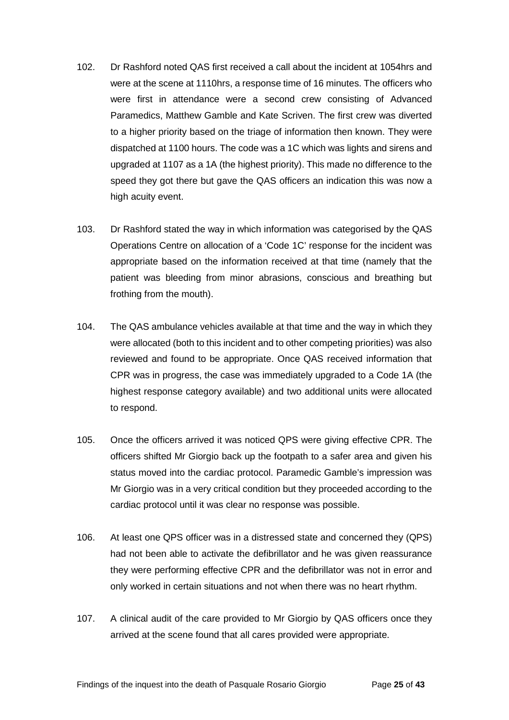- 102. Dr Rashford noted QAS first received a call about the incident at 1054hrs and were at the scene at 1110hrs, a response time of 16 minutes. The officers who were first in attendance were a second crew consisting of Advanced Paramedics, Matthew Gamble and Kate Scriven. The first crew was diverted to a higher priority based on the triage of information then known. They were dispatched at 1100 hours. The code was a 1C which was lights and sirens and upgraded at 1107 as a 1A (the highest priority). This made no difference to the speed they got there but gave the QAS officers an indication this was now a high acuity event.
- 103. Dr Rashford stated the way in which information was categorised by the QAS Operations Centre on allocation of a 'Code 1C' response for the incident was appropriate based on the information received at that time (namely that the patient was bleeding from minor abrasions, conscious and breathing but frothing from the mouth).
- 104. The QAS ambulance vehicles available at that time and the way in which they were allocated (both to this incident and to other competing priorities) was also reviewed and found to be appropriate. Once QAS received information that CPR was in progress, the case was immediately upgraded to a Code 1A (the highest response category available) and two additional units were allocated to respond.
- 105. Once the officers arrived it was noticed QPS were giving effective CPR. The officers shifted Mr Giorgio back up the footpath to a safer area and given his status moved into the cardiac protocol. Paramedic Gamble's impression was Mr Giorgio was in a very critical condition but they proceeded according to the cardiac protocol until it was clear no response was possible.
- 106. At least one QPS officer was in a distressed state and concerned they (QPS) had not been able to activate the defibrillator and he was given reassurance they were performing effective CPR and the defibrillator was not in error and only worked in certain situations and not when there was no heart rhythm.
- 107. A clinical audit of the care provided to Mr Giorgio by QAS officers once they arrived at the scene found that all cares provided were appropriate.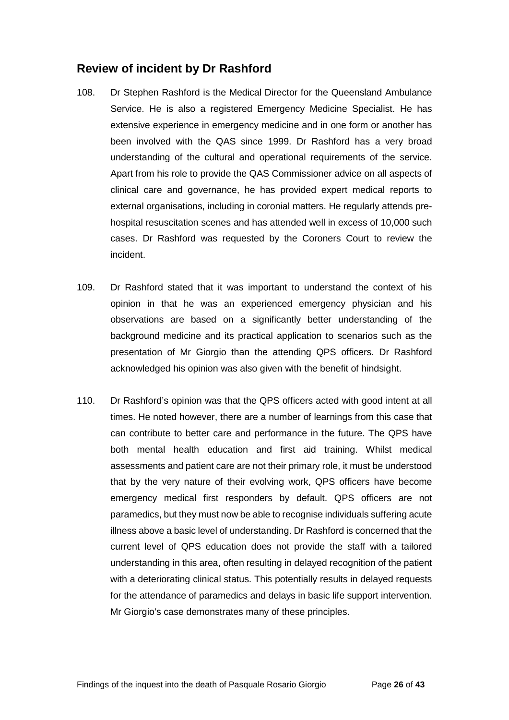# <span id="page-27-0"></span>**Review of incident by Dr Rashford**

- 108. Dr Stephen Rashford is the Medical Director for the Queensland Ambulance Service. He is also a registered Emergency Medicine Specialist. He has extensive experience in emergency medicine and in one form or another has been involved with the QAS since 1999. Dr Rashford has a very broad understanding of the cultural and operational requirements of the service. Apart from his role to provide the QAS Commissioner advice on all aspects of clinical care and governance, he has provided expert medical reports to external organisations, including in coronial matters. He regularly attends prehospital resuscitation scenes and has attended well in excess of 10,000 such cases. Dr Rashford was requested by the Coroners Court to review the incident.
- 109. Dr Rashford stated that it was important to understand the context of his opinion in that he was an experienced emergency physician and his observations are based on a significantly better understanding of the background medicine and its practical application to scenarios such as the presentation of Mr Giorgio than the attending QPS officers. Dr Rashford acknowledged his opinion was also given with the benefit of hindsight.
- 110. Dr Rashford's opinion was that the QPS officers acted with good intent at all times. He noted however, there are a number of learnings from this case that can contribute to better care and performance in the future. The QPS have both mental health education and first aid training. Whilst medical assessments and patient care are not their primary role, it must be understood that by the very nature of their evolving work, QPS officers have become emergency medical first responders by default. QPS officers are not paramedics, but they must now be able to recognise individuals suffering acute illness above a basic level of understanding. Dr Rashford is concerned that the current level of QPS education does not provide the staff with a tailored understanding in this area, often resulting in delayed recognition of the patient with a deteriorating clinical status. This potentially results in delayed requests for the attendance of paramedics and delays in basic life support intervention. Mr Giorgio's case demonstrates many of these principles.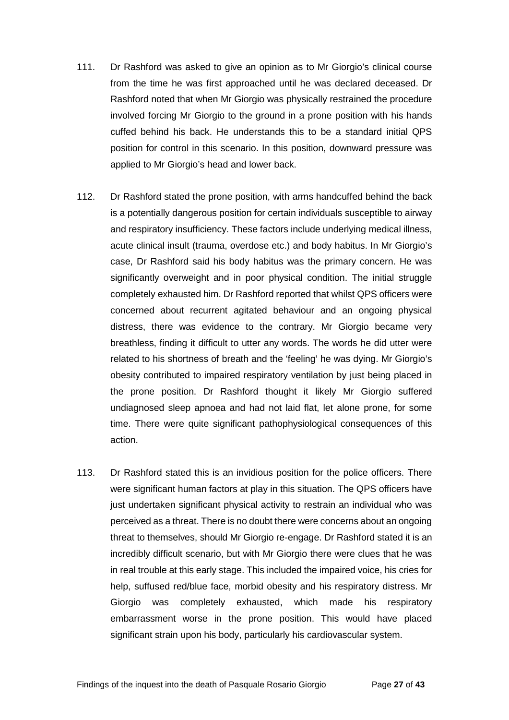- 111. Dr Rashford was asked to give an opinion as to Mr Giorgio's clinical course from the time he was first approached until he was declared deceased. Dr Rashford noted that when Mr Giorgio was physically restrained the procedure involved forcing Mr Giorgio to the ground in a prone position with his hands cuffed behind his back. He understands this to be a standard initial QPS position for control in this scenario. In this position, downward pressure was applied to Mr Giorgio's head and lower back.
- 112. Dr Rashford stated the prone position, with arms handcuffed behind the back is a potentially dangerous position for certain individuals susceptible to airway and respiratory insufficiency. These factors include underlying medical illness, acute clinical insult (trauma, overdose etc.) and body habitus. In Mr Giorgio's case, Dr Rashford said his body habitus was the primary concern. He was significantly overweight and in poor physical condition. The initial struggle completely exhausted him. Dr Rashford reported that whilst QPS officers were concerned about recurrent agitated behaviour and an ongoing physical distress, there was evidence to the contrary. Mr Giorgio became very breathless, finding it difficult to utter any words. The words he did utter were related to his shortness of breath and the 'feeling' he was dying. Mr Giorgio's obesity contributed to impaired respiratory ventilation by just being placed in the prone position. Dr Rashford thought it likely Mr Giorgio suffered undiagnosed sleep apnoea and had not laid flat, let alone prone, for some time. There were quite significant pathophysiological consequences of this action.
- 113. Dr Rashford stated this is an invidious position for the police officers. There were significant human factors at play in this situation. The QPS officers have just undertaken significant physical activity to restrain an individual who was perceived as a threat. There is no doubt there were concerns about an ongoing threat to themselves, should Mr Giorgio re-engage. Dr Rashford stated it is an incredibly difficult scenario, but with Mr Giorgio there were clues that he was in real trouble at this early stage. This included the impaired voice, his cries for help, suffused red/blue face, morbid obesity and his respiratory distress. Mr Giorgio was completely exhausted, which made his respiratory embarrassment worse in the prone position. This would have placed significant strain upon his body, particularly his cardiovascular system.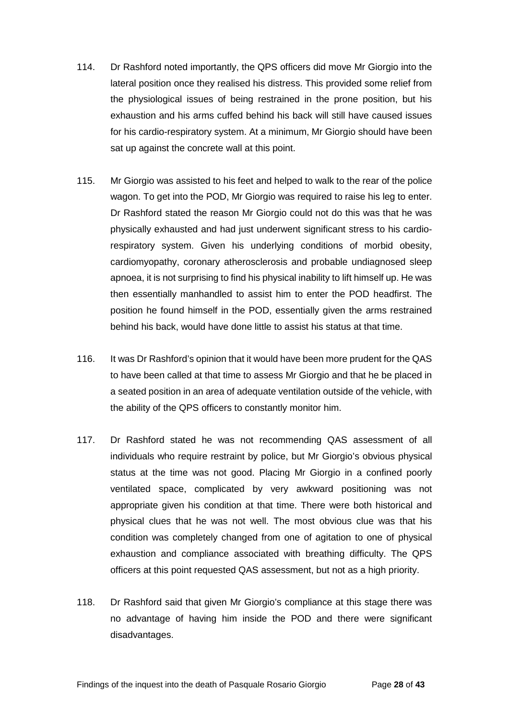- 114. Dr Rashford noted importantly, the QPS officers did move Mr Giorgio into the lateral position once they realised his distress. This provided some relief from the physiological issues of being restrained in the prone position, but his exhaustion and his arms cuffed behind his back will still have caused issues for his cardio-respiratory system. At a minimum, Mr Giorgio should have been sat up against the concrete wall at this point.
- 115. Mr Giorgio was assisted to his feet and helped to walk to the rear of the police wagon. To get into the POD, Mr Giorgio was required to raise his leg to enter. Dr Rashford stated the reason Mr Giorgio could not do this was that he was physically exhausted and had just underwent significant stress to his cardiorespiratory system. Given his underlying conditions of morbid obesity, cardiomyopathy, coronary atherosclerosis and probable undiagnosed sleep apnoea, it is not surprising to find his physical inability to lift himself up. He was then essentially manhandled to assist him to enter the POD headfirst. The position he found himself in the POD, essentially given the arms restrained behind his back, would have done little to assist his status at that time.
- 116. It was Dr Rashford's opinion that it would have been more prudent for the QAS to have been called at that time to assess Mr Giorgio and that he be placed in a seated position in an area of adequate ventilation outside of the vehicle, with the ability of the QPS officers to constantly monitor him.
- 117. Dr Rashford stated he was not recommending QAS assessment of all individuals who require restraint by police, but Mr Giorgio's obvious physical status at the time was not good. Placing Mr Giorgio in a confined poorly ventilated space, complicated by very awkward positioning was not appropriate given his condition at that time. There were both historical and physical clues that he was not well. The most obvious clue was that his condition was completely changed from one of agitation to one of physical exhaustion and compliance associated with breathing difficulty. The QPS officers at this point requested QAS assessment, but not as a high priority.
- 118. Dr Rashford said that given Mr Giorgio's compliance at this stage there was no advantage of having him inside the POD and there were significant disadvantages.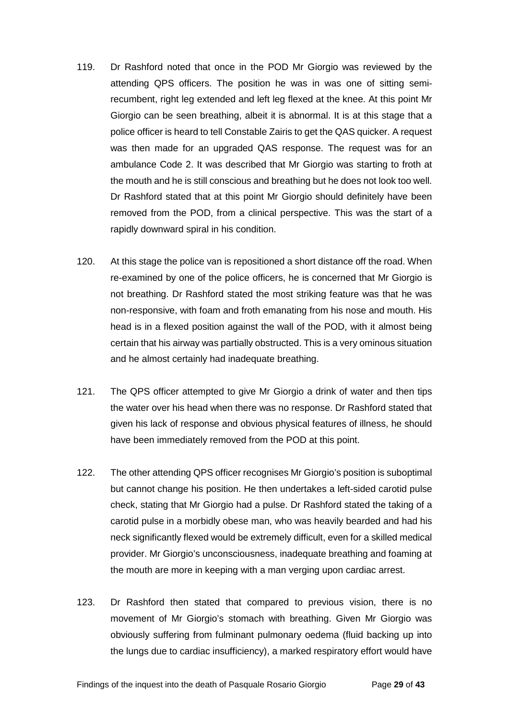- 119. Dr Rashford noted that once in the POD Mr Giorgio was reviewed by the attending QPS officers. The position he was in was one of sitting semirecumbent, right leg extended and left leg flexed at the knee. At this point Mr Giorgio can be seen breathing, albeit it is abnormal. It is at this stage that a police officer is heard to tell Constable Zairis to get the QAS quicker. A request was then made for an upgraded QAS response. The request was for an ambulance Code 2. It was described that Mr Giorgio was starting to froth at the mouth and he is still conscious and breathing but he does not look too well. Dr Rashford stated that at this point Mr Giorgio should definitely have been removed from the POD, from a clinical perspective. This was the start of a rapidly downward spiral in his condition.
- 120. At this stage the police van is repositioned a short distance off the road. When re-examined by one of the police officers, he is concerned that Mr Giorgio is not breathing. Dr Rashford stated the most striking feature was that he was non-responsive, with foam and froth emanating from his nose and mouth. His head is in a flexed position against the wall of the POD, with it almost being certain that his airway was partially obstructed. This is a very ominous situation and he almost certainly had inadequate breathing.
- 121. The QPS officer attempted to give Mr Giorgio a drink of water and then tips the water over his head when there was no response. Dr Rashford stated that given his lack of response and obvious physical features of illness, he should have been immediately removed from the POD at this point.
- 122. The other attending QPS officer recognises Mr Giorgio's position is suboptimal but cannot change his position. He then undertakes a left-sided carotid pulse check, stating that Mr Giorgio had a pulse. Dr Rashford stated the taking of a carotid pulse in a morbidly obese man, who was heavily bearded and had his neck significantly flexed would be extremely difficult, even for a skilled medical provider. Mr Giorgio's unconsciousness, inadequate breathing and foaming at the mouth are more in keeping with a man verging upon cardiac arrest.
- 123. Dr Rashford then stated that compared to previous vision, there is no movement of Mr Giorgio's stomach with breathing. Given Mr Giorgio was obviously suffering from fulminant pulmonary oedema (fluid backing up into the lungs due to cardiac insufficiency), a marked respiratory effort would have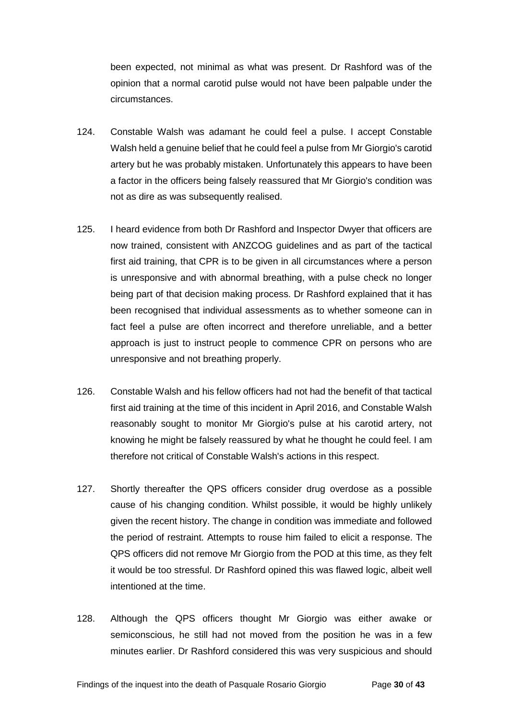been expected, not minimal as what was present. Dr Rashford was of the opinion that a normal carotid pulse would not have been palpable under the circumstances.

- 124. Constable Walsh was adamant he could feel a pulse. I accept Constable Walsh held a genuine belief that he could feel a pulse from Mr Giorgio's carotid artery but he was probably mistaken. Unfortunately this appears to have been a factor in the officers being falsely reassured that Mr Giorgio's condition was not as dire as was subsequently realised.
- 125. I heard evidence from both Dr Rashford and Inspector Dwyer that officers are now trained, consistent with ANZCOG guidelines and as part of the tactical first aid training, that CPR is to be given in all circumstances where a person is unresponsive and with abnormal breathing, with a pulse check no longer being part of that decision making process. Dr Rashford explained that it has been recognised that individual assessments as to whether someone can in fact feel a pulse are often incorrect and therefore unreliable, and a better approach is just to instruct people to commence CPR on persons who are unresponsive and not breathing properly.
- 126. Constable Walsh and his fellow officers had not had the benefit of that tactical first aid training at the time of this incident in April 2016, and Constable Walsh reasonably sought to monitor Mr Giorgio's pulse at his carotid artery, not knowing he might be falsely reassured by what he thought he could feel. I am therefore not critical of Constable Walsh's actions in this respect.
- 127. Shortly thereafter the QPS officers consider drug overdose as a possible cause of his changing condition. Whilst possible, it would be highly unlikely given the recent history. The change in condition was immediate and followed the period of restraint. Attempts to rouse him failed to elicit a response. The QPS officers did not remove Mr Giorgio from the POD at this time, as they felt it would be too stressful. Dr Rashford opined this was flawed logic, albeit well intentioned at the time.
- 128. Although the QPS officers thought Mr Giorgio was either awake or semiconscious, he still had not moved from the position he was in a few minutes earlier. Dr Rashford considered this was very suspicious and should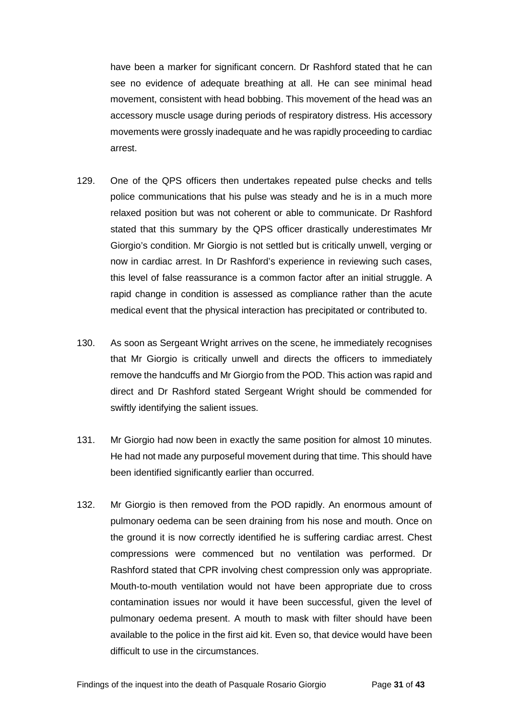have been a marker for significant concern. Dr Rashford stated that he can see no evidence of adequate breathing at all. He can see minimal head movement, consistent with head bobbing. This movement of the head was an accessory muscle usage during periods of respiratory distress. His accessory movements were grossly inadequate and he was rapidly proceeding to cardiac arrest.

- 129. One of the QPS officers then undertakes repeated pulse checks and tells police communications that his pulse was steady and he is in a much more relaxed position but was not coherent or able to communicate. Dr Rashford stated that this summary by the QPS officer drastically underestimates Mr Giorgio's condition. Mr Giorgio is not settled but is critically unwell, verging or now in cardiac arrest. In Dr Rashford's experience in reviewing such cases, this level of false reassurance is a common factor after an initial struggle. A rapid change in condition is assessed as compliance rather than the acute medical event that the physical interaction has precipitated or contributed to.
- 130. As soon as Sergeant Wright arrives on the scene, he immediately recognises that Mr Giorgio is critically unwell and directs the officers to immediately remove the handcuffs and Mr Giorgio from the POD. This action was rapid and direct and Dr Rashford stated Sergeant Wright should be commended for swiftly identifying the salient issues.
- 131. Mr Giorgio had now been in exactly the same position for almost 10 minutes. He had not made any purposeful movement during that time. This should have been identified significantly earlier than occurred.
- 132. Mr Giorgio is then removed from the POD rapidly. An enormous amount of pulmonary oedema can be seen draining from his nose and mouth. Once on the ground it is now correctly identified he is suffering cardiac arrest. Chest compressions were commenced but no ventilation was performed. Dr Rashford stated that CPR involving chest compression only was appropriate. Mouth-to-mouth ventilation would not have been appropriate due to cross contamination issues nor would it have been successful, given the level of pulmonary oedema present. A mouth to mask with filter should have been available to the police in the first aid kit. Even so, that device would have been difficult to use in the circumstances.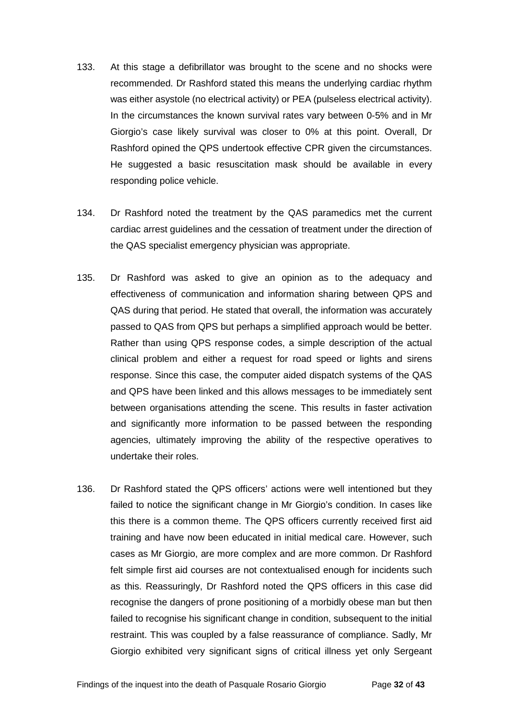- 133. At this stage a defibrillator was brought to the scene and no shocks were recommended. Dr Rashford stated this means the underlying cardiac rhythm was either asystole (no electrical activity) or PEA (pulseless electrical activity). In the circumstances the known survival rates vary between 0-5% and in Mr Giorgio's case likely survival was closer to 0% at this point. Overall, Dr Rashford opined the QPS undertook effective CPR given the circumstances. He suggested a basic resuscitation mask should be available in every responding police vehicle.
- 134. Dr Rashford noted the treatment by the QAS paramedics met the current cardiac arrest guidelines and the cessation of treatment under the direction of the QAS specialist emergency physician was appropriate.
- 135. Dr Rashford was asked to give an opinion as to the adequacy and effectiveness of communication and information sharing between QPS and QAS during that period. He stated that overall, the information was accurately passed to QAS from QPS but perhaps a simplified approach would be better. Rather than using QPS response codes, a simple description of the actual clinical problem and either a request for road speed or lights and sirens response. Since this case, the computer aided dispatch systems of the QAS and QPS have been linked and this allows messages to be immediately sent between organisations attending the scene. This results in faster activation and significantly more information to be passed between the responding agencies, ultimately improving the ability of the respective operatives to undertake their roles.
- 136. Dr Rashford stated the QPS officers' actions were well intentioned but they failed to notice the significant change in Mr Giorgio's condition. In cases like this there is a common theme. The QPS officers currently received first aid training and have now been educated in initial medical care. However, such cases as Mr Giorgio, are more complex and are more common. Dr Rashford felt simple first aid courses are not contextualised enough for incidents such as this. Reassuringly, Dr Rashford noted the QPS officers in this case did recognise the dangers of prone positioning of a morbidly obese man but then failed to recognise his significant change in condition, subsequent to the initial restraint. This was coupled by a false reassurance of compliance. Sadly, Mr Giorgio exhibited very significant signs of critical illness yet only Sergeant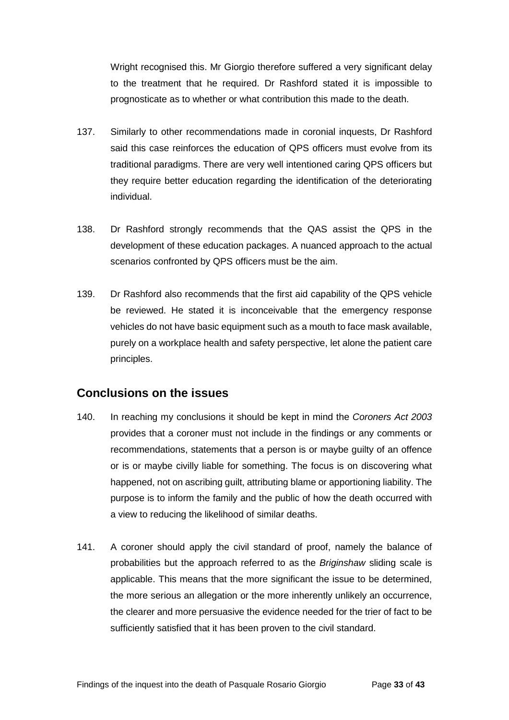Wright recognised this. Mr Giorgio therefore suffered a very significant delay to the treatment that he required. Dr Rashford stated it is impossible to prognosticate as to whether or what contribution this made to the death.

- 137. Similarly to other recommendations made in coronial inquests, Dr Rashford said this case reinforces the education of QPS officers must evolve from its traditional paradigms. There are very well intentioned caring QPS officers but they require better education regarding the identification of the deteriorating individual.
- 138. Dr Rashford strongly recommends that the QAS assist the QPS in the development of these education packages. A nuanced approach to the actual scenarios confronted by QPS officers must be the aim.
- 139. Dr Rashford also recommends that the first aid capability of the QPS vehicle be reviewed. He stated it is inconceivable that the emergency response vehicles do not have basic equipment such as a mouth to face mask available, purely on a workplace health and safety perspective, let alone the patient care principles.

## <span id="page-34-0"></span>**Conclusions on the issues**

- 140. In reaching my conclusions it should be kept in mind the *Coroners Act 2003*  provides that a coroner must not include in the findings or any comments or recommendations, statements that a person is or maybe guilty of an offence or is or maybe civilly liable for something. The focus is on discovering what happened, not on ascribing guilt, attributing blame or apportioning liability. The purpose is to inform the family and the public of how the death occurred with a view to reducing the likelihood of similar deaths.
- 141. A coroner should apply the civil standard of proof, namely the balance of probabilities but the approach referred to as the *Briginshaw* sliding scale is applicable. This means that the more significant the issue to be determined, the more serious an allegation or the more inherently unlikely an occurrence, the clearer and more persuasive the evidence needed for the trier of fact to be sufficiently satisfied that it has been proven to the civil standard.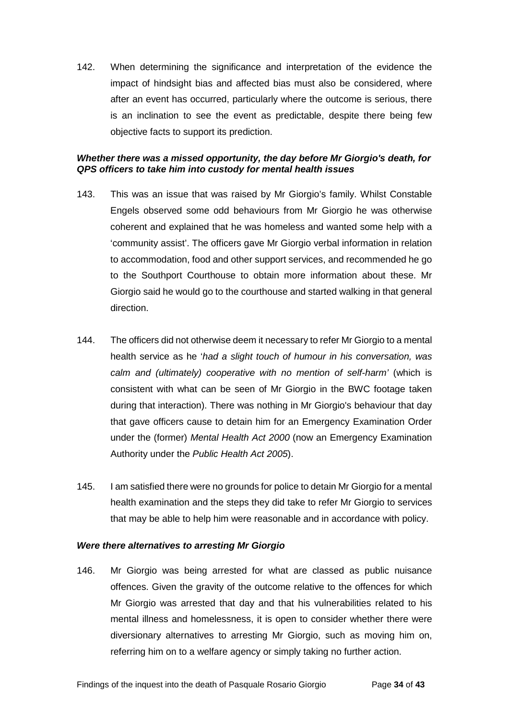142. When determining the significance and interpretation of the evidence the impact of hindsight bias and affected bias must also be considered, where after an event has occurred, particularly where the outcome is serious, there is an inclination to see the event as predictable, despite there being few objective facts to support its prediction.

#### <span id="page-35-0"></span>*Whether there was a missed opportunity, the day before Mr Giorgio's death, for QPS officers to take him into custody for mental health issues*

- 143. This was an issue that was raised by Mr Giorgio's family. Whilst Constable Engels observed some odd behaviours from Mr Giorgio he was otherwise coherent and explained that he was homeless and wanted some help with a 'community assist'. The officers gave Mr Giorgio verbal information in relation to accommodation, food and other support services, and recommended he go to the Southport Courthouse to obtain more information about these. Mr Giorgio said he would go to the courthouse and started walking in that general direction.
- 144. The officers did not otherwise deem it necessary to refer Mr Giorgio to a mental health service as he '*had a slight touch of humour in his conversation, was calm and (ultimately) cooperative with no mention of self-harm'* (which is consistent with what can be seen of Mr Giorgio in the BWC footage taken during that interaction). There was nothing in Mr Giorgio's behaviour that day that gave officers cause to detain him for an Emergency Examination Order under the (former) *Mental Health Act 2000* (now an Emergency Examination Authority under the *Public Health Act 2005*).
- 145. I am satisfied there were no grounds for police to detain Mr Giorgio for a mental health examination and the steps they did take to refer Mr Giorgio to services that may be able to help him were reasonable and in accordance with policy.

#### <span id="page-35-1"></span>*Were there alternatives to arresting Mr Giorgio*

146. Mr Giorgio was being arrested for what are classed as public nuisance offences. Given the gravity of the outcome relative to the offences for which Mr Giorgio was arrested that day and that his vulnerabilities related to his mental illness and homelessness, it is open to consider whether there were diversionary alternatives to arresting Mr Giorgio, such as moving him on, referring him on to a welfare agency or simply taking no further action.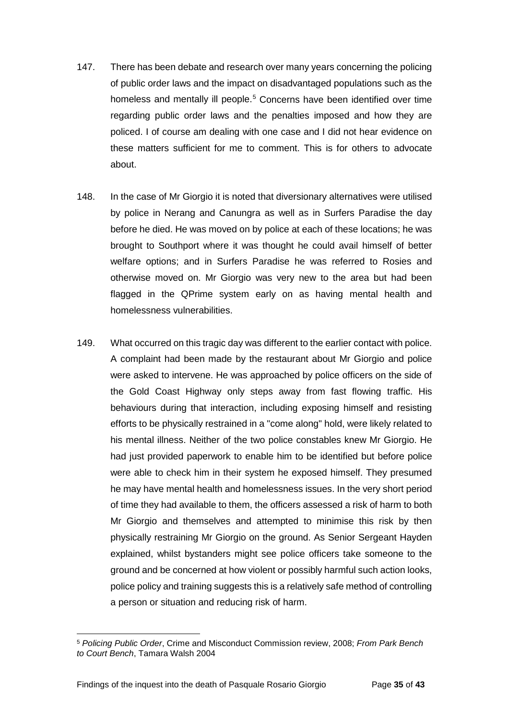- 147. There has been debate and research over many years concerning the policing of public order laws and the impact on disadvantaged populations such as the homeless and mentally ill people.<sup>[5](#page-36-0)</sup> Concerns have been identified over time regarding public order laws and the penalties imposed and how they are policed. I of course am dealing with one case and I did not hear evidence on these matters sufficient for me to comment. This is for others to advocate about.
- 148. In the case of Mr Giorgio it is noted that diversionary alternatives were utilised by police in Nerang and Canungra as well as in Surfers Paradise the day before he died. He was moved on by police at each of these locations; he was brought to Southport where it was thought he could avail himself of better welfare options; and in Surfers Paradise he was referred to Rosies and otherwise moved on. Mr Giorgio was very new to the area but had been flagged in the QPrime system early on as having mental health and homelessness vulnerabilities.
- 149. What occurred on this tragic day was different to the earlier contact with police. A complaint had been made by the restaurant about Mr Giorgio and police were asked to intervene. He was approached by police officers on the side of the Gold Coast Highway only steps away from fast flowing traffic. His behaviours during that interaction, including exposing himself and resisting efforts to be physically restrained in a "come along" hold, were likely related to his mental illness. Neither of the two police constables knew Mr Giorgio. He had just provided paperwork to enable him to be identified but before police were able to check him in their system he exposed himself. They presumed he may have mental health and homelessness issues. In the very short period of time they had available to them, the officers assessed a risk of harm to both Mr Giorgio and themselves and attempted to minimise this risk by then physically restraining Mr Giorgio on the ground. As Senior Sergeant Hayden explained, whilst bystanders might see police officers take someone to the ground and be concerned at how violent or possibly harmful such action looks, police policy and training suggests this is a relatively safe method of controlling a person or situation and reducing risk of harm.

<span id="page-36-0"></span><sup>5</sup> *Policing Public Order*, Crime and Misconduct Commission review, 2008; *From Park Bench to Court Bench*, Tamara Walsh 2004  $\overline{a}$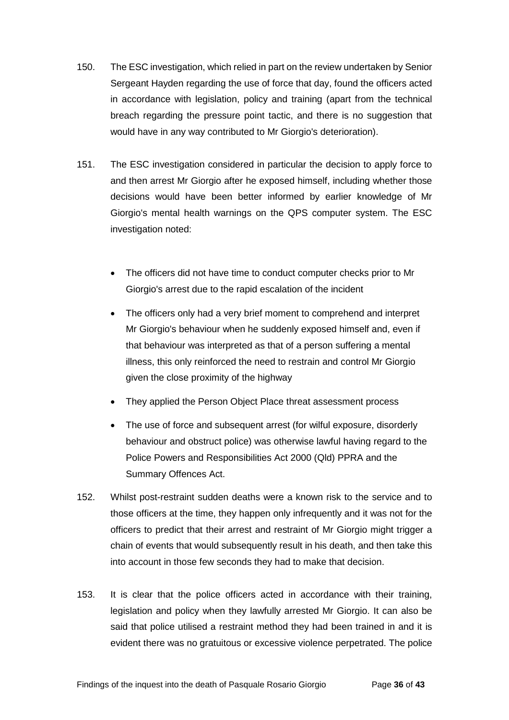- 150. The ESC investigation, which relied in part on the review undertaken by Senior Sergeant Hayden regarding the use of force that day, found the officers acted in accordance with legislation, policy and training (apart from the technical breach regarding the pressure point tactic, and there is no suggestion that would have in any way contributed to Mr Giorgio's deterioration).
- 151. The ESC investigation considered in particular the decision to apply force to and then arrest Mr Giorgio after he exposed himself, including whether those decisions would have been better informed by earlier knowledge of Mr Giorgio's mental health warnings on the QPS computer system. The ESC investigation noted:
	- The officers did not have time to conduct computer checks prior to Mr Giorgio's arrest due to the rapid escalation of the incident
	- The officers only had a very brief moment to comprehend and interpret Mr Giorgio's behaviour when he suddenly exposed himself and, even if that behaviour was interpreted as that of a person suffering a mental illness, this only reinforced the need to restrain and control Mr Giorgio given the close proximity of the highway
	- They applied the Person Object Place threat assessment process
	- The use of force and subsequent arrest (for wilful exposure, disorderly behaviour and obstruct police) was otherwise lawful having regard to the Police Powers and Responsibilities Act 2000 (Qld) PPRA and the Summary Offences Act.
- 152. Whilst post-restraint sudden deaths were a known risk to the service and to those officers at the time, they happen only infrequently and it was not for the officers to predict that their arrest and restraint of Mr Giorgio might trigger a chain of events that would subsequently result in his death, and then take this into account in those few seconds they had to make that decision.
- 153. It is clear that the police officers acted in accordance with their training, legislation and policy when they lawfully arrested Mr Giorgio. It can also be said that police utilised a restraint method they had been trained in and it is evident there was no gratuitous or excessive violence perpetrated. The police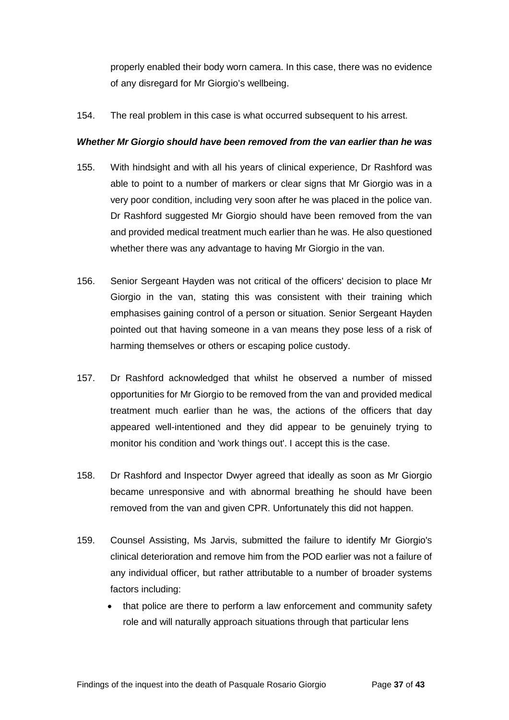properly enabled their body worn camera. In this case, there was no evidence of any disregard for Mr Giorgio's wellbeing.

154. The real problem in this case is what occurred subsequent to his arrest.

#### <span id="page-38-0"></span>*Whether Mr Giorgio should have been removed from the van earlier than he was*

- 155. With hindsight and with all his years of clinical experience, Dr Rashford was able to point to a number of markers or clear signs that Mr Giorgio was in a very poor condition, including very soon after he was placed in the police van. Dr Rashford suggested Mr Giorgio should have been removed from the van and provided medical treatment much earlier than he was. He also questioned whether there was any advantage to having Mr Giorgio in the van.
- 156. Senior Sergeant Hayden was not critical of the officers' decision to place Mr Giorgio in the van, stating this was consistent with their training which emphasises gaining control of a person or situation. Senior Sergeant Hayden pointed out that having someone in a van means they pose less of a risk of harming themselves or others or escaping police custody.
- 157. Dr Rashford acknowledged that whilst he observed a number of missed opportunities for Mr Giorgio to be removed from the van and provided medical treatment much earlier than he was, the actions of the officers that day appeared well-intentioned and they did appear to be genuinely trying to monitor his condition and 'work things out'. I accept this is the case.
- 158. Dr Rashford and Inspector Dwyer agreed that ideally as soon as Mr Giorgio became unresponsive and with abnormal breathing he should have been removed from the van and given CPR. Unfortunately this did not happen.
- 159. Counsel Assisting, Ms Jarvis, submitted the failure to identify Mr Giorgio's clinical deterioration and remove him from the POD earlier was not a failure of any individual officer, but rather attributable to a number of broader systems factors including:
	- that police are there to perform a law enforcement and community safety role and will naturally approach situations through that particular lens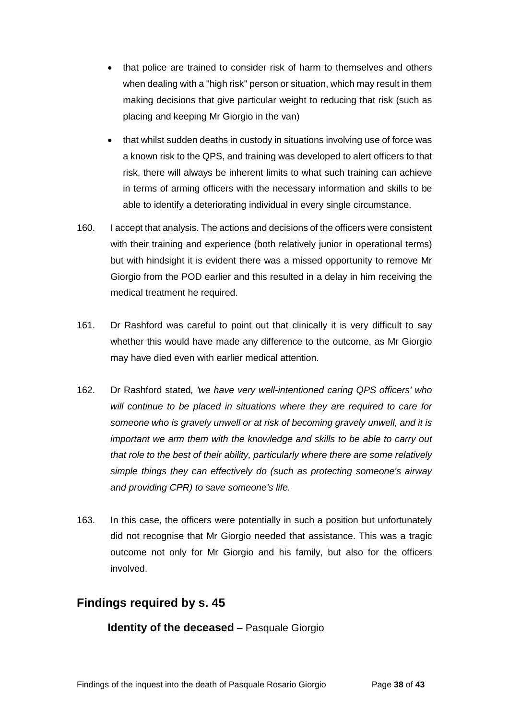- that police are trained to consider risk of harm to themselves and others when dealing with a "high risk" person or situation, which may result in them making decisions that give particular weight to reducing that risk (such as placing and keeping Mr Giorgio in the van)
- that whilst sudden deaths in custody in situations involving use of force was a known risk to the QPS, and training was developed to alert officers to that risk, there will always be inherent limits to what such training can achieve in terms of arming officers with the necessary information and skills to be able to identify a deteriorating individual in every single circumstance.
- 160. I accept that analysis. The actions and decisions of the officers were consistent with their training and experience (both relatively junior in operational terms) but with hindsight it is evident there was a missed opportunity to remove Mr Giorgio from the POD earlier and this resulted in a delay in him receiving the medical treatment he required.
- 161. Dr Rashford was careful to point out that clinically it is very difficult to say whether this would have made any difference to the outcome, as Mr Giorgio may have died even with earlier medical attention.
- 162. Dr Rashford stated*, 'we have very well-intentioned caring QPS officers' who will continue to be placed in situations where they are required to care for someone who is gravely unwell or at risk of becoming gravely unwell, and it is important we arm them with the knowledge and skills to be able to carry out that role to the best of their ability, particularly where there are some relatively simple things they can effectively do (such as protecting someone's airway and providing CPR) to save someone's life.*
- 163. In this case, the officers were potentially in such a position but unfortunately did not recognise that Mr Giorgio needed that assistance. This was a tragic outcome not only for Mr Giorgio and his family, but also for the officers involved.

# <span id="page-39-1"></span><span id="page-39-0"></span>**Findings required by s. 45**

**Identity of the deceased** – Pasquale Giorgio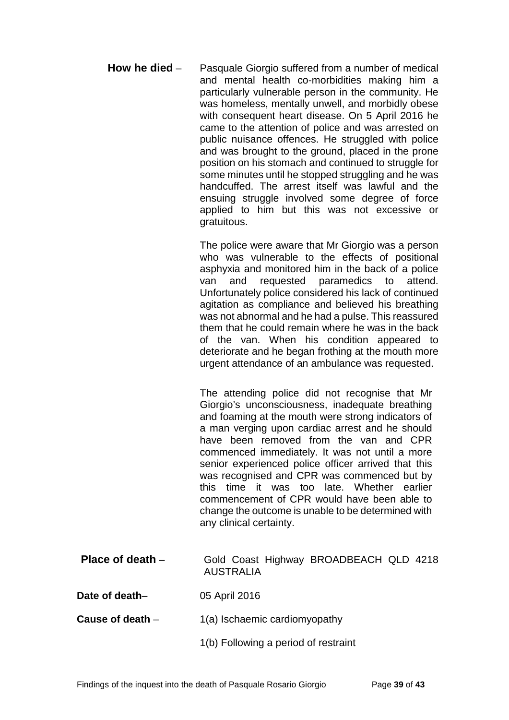<span id="page-40-0"></span>**How he died** – Pasquale Giorgio suffered from a number of medical and mental health co-morbidities making him a particularly vulnerable person in the community. He was homeless, mentally unwell, and morbidly obese with consequent heart disease. On 5 April 2016 he came to the attention of police and was arrested on public nuisance offences. He struggled with police and was brought to the ground, placed in the prone position on his stomach and continued to struggle for some minutes until he stopped struggling and he was handcuffed. The arrest itself was lawful and the ensuing struggle involved some degree of force applied to him but this was not excessive or gratuitous.

> The police were aware that Mr Giorgio was a person who was vulnerable to the effects of positional asphyxia and monitored him in the back of a police van and requested paramedics to attend. Unfortunately police considered his lack of continued agitation as compliance and believed his breathing was not abnormal and he had a pulse. This reassured them that he could remain where he was in the back of the van. When his condition appeared to deteriorate and he began frothing at the mouth more urgent attendance of an ambulance was requested.

The attending police did not recognise that Mr Giorgio's unconsciousness, inadequate breathing and foaming at the mouth were strong indicators of a man verging upon cardiac arrest and he should have been removed from the van and CPR commenced immediately. It was not until a more senior experienced police officer arrived that this was recognised and CPR was commenced but by this time it was too late. Whether earlier commencement of CPR would have been able to change the outcome is unable to be determined with any clinical certainty.

- <span id="page-40-1"></span>**Place of death** – Gold Coast Highway BROADBEACH QLD 4218 AUSTRALIA
- <span id="page-40-2"></span>**Date of death**– 05 April 2016
- <span id="page-40-3"></span>**Cause of death** – 1(a) Ischaemic cardiomyopathy
	- 1(b) Following a period of restraint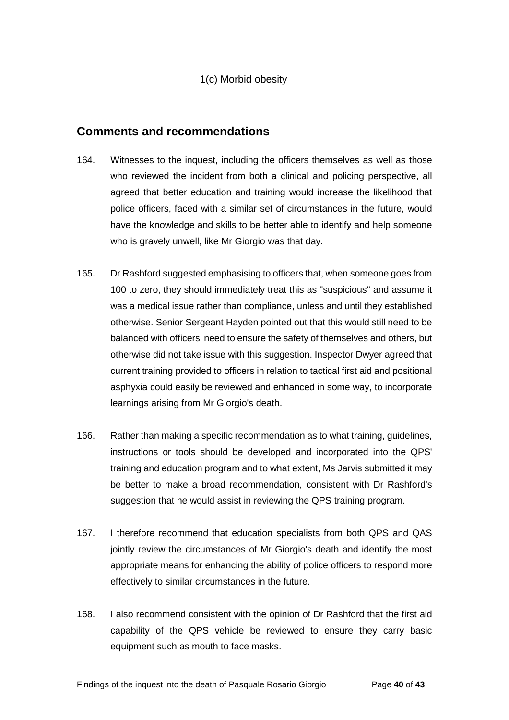1(c) Morbid obesity

### <span id="page-41-0"></span>**Comments and recommendations**

- 164. Witnesses to the inquest, including the officers themselves as well as those who reviewed the incident from both a clinical and policing perspective, all agreed that better education and training would increase the likelihood that police officers, faced with a similar set of circumstances in the future, would have the knowledge and skills to be better able to identify and help someone who is gravely unwell, like Mr Giorgio was that day.
- 165. Dr Rashford suggested emphasising to officers that, when someone goes from 100 to zero, they should immediately treat this as "suspicious" and assume it was a medical issue rather than compliance, unless and until they established otherwise. Senior Sergeant Hayden pointed out that this would still need to be balanced with officers' need to ensure the safety of themselves and others, but otherwise did not take issue with this suggestion. Inspector Dwyer agreed that current training provided to officers in relation to tactical first aid and positional asphyxia could easily be reviewed and enhanced in some way, to incorporate learnings arising from Mr Giorgio's death.
- 166. Rather than making a specific recommendation as to what training, guidelines, instructions or tools should be developed and incorporated into the QPS' training and education program and to what extent, Ms Jarvis submitted it may be better to make a broad recommendation, consistent with Dr Rashford's suggestion that he would assist in reviewing the QPS training program.
- 167. I therefore recommend that education specialists from both QPS and QAS jointly review the circumstances of Mr Giorgio's death and identify the most appropriate means for enhancing the ability of police officers to respond more effectively to similar circumstances in the future.
- 168. I also recommend consistent with the opinion of Dr Rashford that the first aid capability of the QPS vehicle be reviewed to ensure they carry basic equipment such as mouth to face masks.